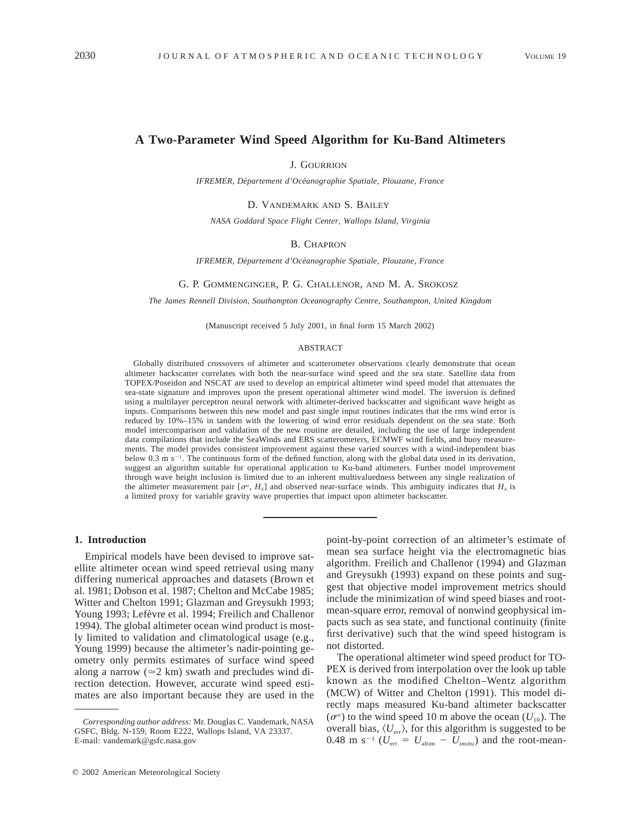# **A Two-Parameter Wind Speed Algorithm for Ku-Band Altimeters**

J. GOURRION

*IFREMER, De´partement d'Oce´anographie Spatiale, Plouzane, France*

D. VANDEMARK AND S. BAILEY

*NASA Goddard Space Flight Center, Wallops Island, Virginia*

# B. CHAPRON

*IFREMER, De´partement d'Oce´anographie Spatiale, Plouzane, France*

#### G. P. GOMMENGINGER, P. G. CHALLENOR, AND M. A. SROKOSZ

*The James Rennell Division, Southampton Oceanography Centre, Southampton, United Kingdom*

(Manuscript received 5 July 2001, in final form 15 March 2002)

### ABSTRACT

Globally distributed crossovers of altimeter and scatterometer observations clearly demonstrate that ocean altimeter backscatter correlates with both the near-surface wind speed and the sea state. Satellite data from TOPEX/Poseidon and NSCAT are used to develop an empirical altimeter wind speed model that attenuates the sea-state signature and improves upon the present operational altimeter wind model. The inversion is defined using a multilayer perceptron neural network with altimeter-derived backscatter and significant wave height as inputs. Comparisons between this new model and past single input routines indicates that the rms wind error is reduced by 10%–15% in tandem with the lowering of wind error residuals dependent on the sea state. Both model intercomparison and validation of the new routine are detailed, including the use of large independent data compilations that include the SeaWinds and ERS scatterometers, ECMWF wind fields, and buoy measurements. The model provides consistent improvement against these varied sources with a wind-independent bias below 0.3 m s<sup>-1</sup>. The continuous form of the defined function, along with the global data used in its derivation, suggest an algorithm suitable for operational application to Ku-band altimeters. Further model improvement through wave height inclusion is limited due to an inherent multivaluedness between any single realization of the altimeter measurement pair  $[\sigma^o, H_s]$  and observed near-surface winds. This ambiguity indicates that  $H_s$  is a limited proxy for variable gravity wave properties that impact upon altimeter backscatter.

# **1. Introduction**

Empirical models have been devised to improve satellite altimeter ocean wind speed retrieval using many differing numerical approaches and datasets (Brown et al. 1981; Dobson et al. 1987; Chelton and McCabe 1985; Witter and Chelton 1991; Glazman and Greysukh 1993; Young 1993; Lefèvre et al. 1994; Freilich and Challenor 1994). The global altimeter ocean wind product is mostly limited to validation and climatological usage (e.g., Young 1999) because the altimeter's nadir-pointing geometry only permits estimates of surface wind speed along a narrow ( $\approx$ 2 km) swath and precludes wind direction detection. However, accurate wind speed estimates are also important because they are used in the

point-by-point correction of an altimeter's estimate of mean sea surface height via the electromagnetic bias algorithm. Freilich and Challenor (1994) and Glazman and Greysukh (1993) expand on these points and suggest that objective model improvement metrics should include the minimization of wind speed biases and rootmean-square error, removal of nonwind geophysical impacts such as sea state, and functional continuity (finite first derivative) such that the wind speed histogram is not distorted.

The operational altimeter wind speed product for TO-PEX is derived from interpolation over the look up table known as the modified Chelton–Wentz algorithm (MCW) of Witter and Chelton (1991). This model directly maps measured Ku-band altimeter backscatter  $(\sigma^{\circ})$  to the wind speed 10 m above the ocean ( $U_{10}$ ). The overall bias,  $\langle U_{\text{err}}\rangle$ , for this algorithm is suggested to be  $0.48$  m s<sup>-1</sup> ( $U_{\text{err}} = U_{\text{attim}} - U_{\text{insitu}}$ ) and the root-mean-

*Corresponding author address:* Mr. Douglas C. Vandemark, NASA GSFC, Bldg. N-159, Room E222, Wallops Island, VA 23337. E-mail: vandemark@gsfc.nasa.gov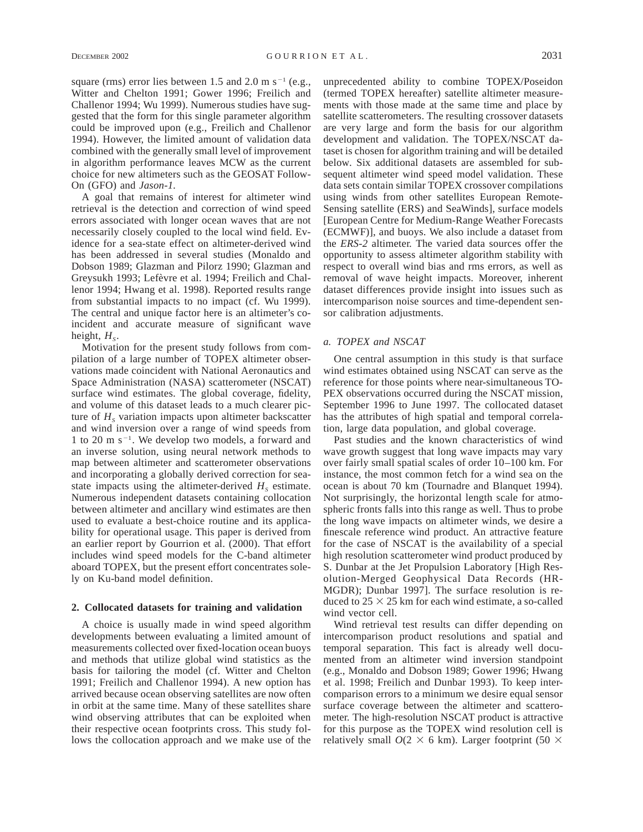square (rms) error lies between 1.5 and 2.0 m s<sup>-1</sup> (e.g., Witter and Chelton 1991; Gower 1996; Freilich and Challenor 1994; Wu 1999). Numerous studies have suggested that the form for this single parameter algorithm could be improved upon (e.g., Freilich and Challenor 1994). However, the limited amount of validation data combined with the generally small level of improvement in algorithm performance leaves MCW as the current choice for new altimeters such as the GEOSAT Follow-On (GFO) and *Jason-1.*

A goal that remains of interest for altimeter wind retrieval is the detection and correction of wind speed errors associated with longer ocean waves that are not necessarily closely coupled to the local wind field. Evidence for a sea-state effect on altimeter-derived wind has been addressed in several studies (Monaldo and Dobson 1989; Glazman and Pilorz 1990; Glazman and Greysukh 1993; Lefèvre et al. 1994; Freilich and Challenor 1994; Hwang et al. 1998). Reported results range from substantial impacts to no impact (cf. Wu 1999). The central and unique factor here is an altimeter's coincident and accurate measure of significant wave height,  $H<sub>s</sub>$ .

Motivation for the present study follows from compilation of a large number of TOPEX altimeter observations made coincident with National Aeronautics and Space Administration (NASA) scatterometer (NSCAT) surface wind estimates. The global coverage, fidelity, and volume of this dataset leads to a much clearer picture of  $H<sub>s</sub>$  variation impacts upon altimeter backscatter and wind inversion over a range of wind speeds from 1 to 20 m  $s^{-1}$ . We develop two models, a forward and an inverse solution, using neural network methods to map between altimeter and scatterometer observations and incorporating a globally derived correction for seastate impacts using the altimeter-derived  $H<sub>s</sub>$  estimate. Numerous independent datasets containing collocation between altimeter and ancillary wind estimates are then used to evaluate a best-choice routine and its applicability for operational usage. This paper is derived from an earlier report by Gourrion et al. (2000). That effort includes wind speed models for the C-band altimeter aboard TOPEX, but the present effort concentrates solely on Ku-band model definition.

# **2. Collocated datasets for training and validation**

A choice is usually made in wind speed algorithm developments between evaluating a limited amount of measurements collected over fixed-location ocean buoys and methods that utilize global wind statistics as the basis for tailoring the model (cf. Witter and Chelton 1991; Freilich and Challenor 1994). A new option has arrived because ocean observing satellites are now often in orbit at the same time. Many of these satellites share wind observing attributes that can be exploited when their respective ocean footprints cross. This study follows the collocation approach and we make use of the

unprecedented ability to combine TOPEX/Poseidon (termed TOPEX hereafter) satellite altimeter measurements with those made at the same time and place by satellite scatterometers. The resulting crossover datasets are very large and form the basis for our algorithm development and validation. The TOPEX/NSCAT dataset is chosen for algorithm training and will be detailed below. Six additional datasets are assembled for subsequent altimeter wind speed model validation. These data sets contain similar TOPEX crossover compilations using winds from other satellites European Remote-Sensing satellite (ERS) and SeaWinds], surface models [European Centre for Medium-Range Weather Forecasts (ECMWF)], and buoys. We also include a dataset from the *ERS-2* altimeter. The varied data sources offer the opportunity to assess altimeter algorithm stability with respect to overall wind bias and rms errors, as well as removal of wave height impacts. Moreover, inherent dataset differences provide insight into issues such as intercomparison noise sources and time-dependent sensor calibration adjustments.

## *a. TOPEX and NSCAT*

One central assumption in this study is that surface wind estimates obtained using NSCAT can serve as the reference for those points where near-simultaneous TO-PEX observations occurred during the NSCAT mission, September 1996 to June 1997. The collocated dataset has the attributes of high spatial and temporal correlation, large data population, and global coverage.

Past studies and the known characteristics of wind wave growth suggest that long wave impacts may vary over fairly small spatial scales of order 10–100 km. For instance, the most common fetch for a wind sea on the ocean is about 70 km (Tournadre and Blanquet 1994). Not surprisingly, the horizontal length scale for atmospheric fronts falls into this range as well. Thus to probe the long wave impacts on altimeter winds, we desire a finescale reference wind product. An attractive feature for the case of NSCAT is the availability of a special high resolution scatterometer wind product produced by S. Dunbar at the Jet Propulsion Laboratory [High Resolution-Merged Geophysical Data Records (HR-MGDR); Dunbar 1997]. The surface resolution is reduced to  $25 \times 25$  km for each wind estimate, a so-called wind vector cell.

Wind retrieval test results can differ depending on intercomparison product resolutions and spatial and temporal separation. This fact is already well documented from an altimeter wind inversion standpoint (e.g., Monaldo and Dobson 1989; Gower 1996; Hwang et al. 1998; Freilich and Dunbar 1993). To keep intercomparison errors to a minimum we desire equal sensor surface coverage between the altimeter and scatterometer. The high-resolution NSCAT product is attractive for this purpose as the TOPEX wind resolution cell is relatively small  $O(2 \times 6 \text{ km})$ . Larger footprint (50  $\times$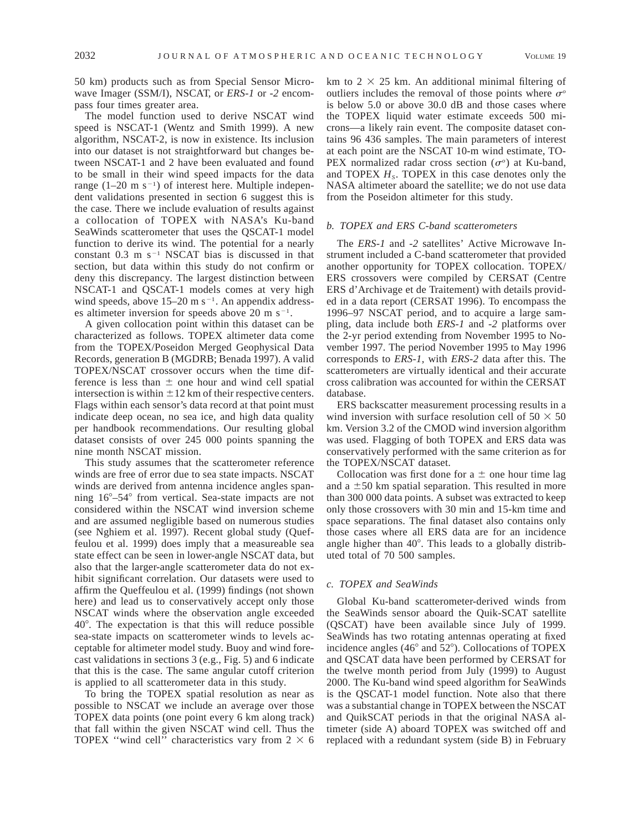50 km) products such as from Special Sensor Microwave Imager (SSM/I), NSCAT, or *ERS-1* or *-2* encompass four times greater area.

The model function used to derive NSCAT wind speed is NSCAT-1 (Wentz and Smith 1999). A new algorithm, NSCAT-2, is now in existence. Its inclusion into our dataset is not straightforward but changes between NSCAT-1 and 2 have been evaluated and found to be small in their wind speed impacts for the data range  $(1-20 \text{ m s}^{-1})$  of interest here. Multiple independent validations presented in section 6 suggest this is the case. There we include evaluation of results against a collocation of TOPEX with NASA's Ku-band SeaWinds scatterometer that uses the QSCAT-1 model function to derive its wind. The potential for a nearly constant  $0.3$  m s<sup>-1</sup> NSCAT bias is discussed in that section, but data within this study do not confirm or deny this discrepancy. The largest distinction between NSCAT-1 and QSCAT-1 models comes at very high wind speeds, above  $15-20$  m s<sup>-1</sup>. An appendix addresses altimeter inversion for speeds above 20 m s<sup> $-1$ </sup>.

A given collocation point within this dataset can be characterized as follows. TOPEX altimeter data come from the TOPEX/Poseidon Merged Geophysical Data Records, generation B (MGDRB; Benada 1997). A valid TOPEX/NSCAT crossover occurs when the time difference is less than  $\pm$  one hour and wind cell spatial intersection is within  $\pm 12$  km of their respective centers. Flags within each sensor's data record at that point must indicate deep ocean, no sea ice, and high data quality per handbook recommendations. Our resulting global dataset consists of over 245 000 points spanning the nine month NSCAT mission.

This study assumes that the scatterometer reference winds are free of error due to sea state impacts. NSCAT winds are derived from antenna incidence angles spanning  $16^{\circ} - 54^{\circ}$  from vertical. Sea-state impacts are not considered within the NSCAT wind inversion scheme and are assumed negligible based on numerous studies (see Nghiem et al. 1997). Recent global study (Queffeulou et al. 1999) does imply that a measureable sea state effect can be seen in lower-angle NSCAT data, but also that the larger-angle scatterometer data do not exhibit significant correlation. Our datasets were used to affirm the Queffeulou et al. (1999) findings (not shown here) and lead us to conservatively accept only those NSCAT winds where the observation angle exceeded 408. The expectation is that this will reduce possible sea-state impacts on scatterometer winds to levels acceptable for altimeter model study. Buoy and wind forecast validations in sections 3 (e.g., Fig. 5) and 6 indicate that this is the case. The same angular cutoff criterion is applied to all scatterometer data in this study.

To bring the TOPEX spatial resolution as near as possible to NSCAT we include an average over those TOPEX data points (one point every 6 km along track) that fall within the given NSCAT wind cell. Thus the TOPEX "wind cell" characteristics vary from  $2 \times 6$ 

km to  $2 \times 25$  km. An additional minimal filtering of outliers includes the removal of those points where  $\sigma^{\circ}$ is below 5.0 or above 30.0 dB and those cases where the TOPEX liquid water estimate exceeds 500 microns—a likely rain event. The composite dataset contains 96 436 samples. The main parameters of interest at each point are the NSCAT 10-m wind estimate, TO-PEX normalized radar cross section  $(\sigma^{\circ})$  at Ku-band, and TOPEX  $H_s$ . TOPEX in this case denotes only the NASA altimeter aboard the satellite; we do not use data from the Poseidon altimeter for this study.

## *b. TOPEX and ERS C-band scatterometers*

The *ERS-1* and *-2* satellites' Active Microwave Instrument included a C-band scatterometer that provided another opportunity for TOPEX collocation. TOPEX/ ERS crossovers were compiled by CERSAT (Centre ERS d'Archivage et de Traitement) with details provided in a data report (CERSAT 1996). To encompass the 1996–97 NSCAT period, and to acquire a large sampling, data include both *ERS-1* and *-2* platforms over the 2-yr period extending from November 1995 to November 1997. The period November 1995 to May 1996 corresponds to *ERS-1,* with *ERS-2* data after this. The scatterometers are virtually identical and their accurate cross calibration was accounted for within the CERSAT database.

ERS backscatter measurement processing results in a wind inversion with surface resolution cell of  $50 \times 50$ km. Version 3.2 of the CMOD wind inversion algorithm was used. Flagging of both TOPEX and ERS data was conservatively performed with the same criterion as for the TOPEX/NSCAT dataset.

Collocation was first done for a  $\pm$  one hour time lag and a  $\pm 50$  km spatial separation. This resulted in more than 300 000 data points. A subset was extracted to keep only those crossovers with 30 min and 15-km time and space separations. The final dataset also contains only those cases where all ERS data are for an incidence angle higher than  $40^\circ$ . This leads to a globally distributed total of 70 500 samples.

#### *c. TOPEX and SeaWinds*

Global Ku-band scatterometer-derived winds from the SeaWinds sensor aboard the Quik-SCAT satellite (QSCAT) have been available since July of 1999. SeaWinds has two rotating antennas operating at fixed incidence angles  $(46^{\circ}$  and  $52^{\circ})$ . Collocations of TOPEX and QSCAT data have been performed by CERSAT for the twelve month period from July (1999) to August 2000. The Ku-band wind speed algorithm for SeaWinds is the QSCAT-1 model function. Note also that there was a substantial change in TOPEX between the NSCAT and QuikSCAT periods in that the original NASA altimeter (side A) aboard TOPEX was switched off and replaced with a redundant system (side B) in February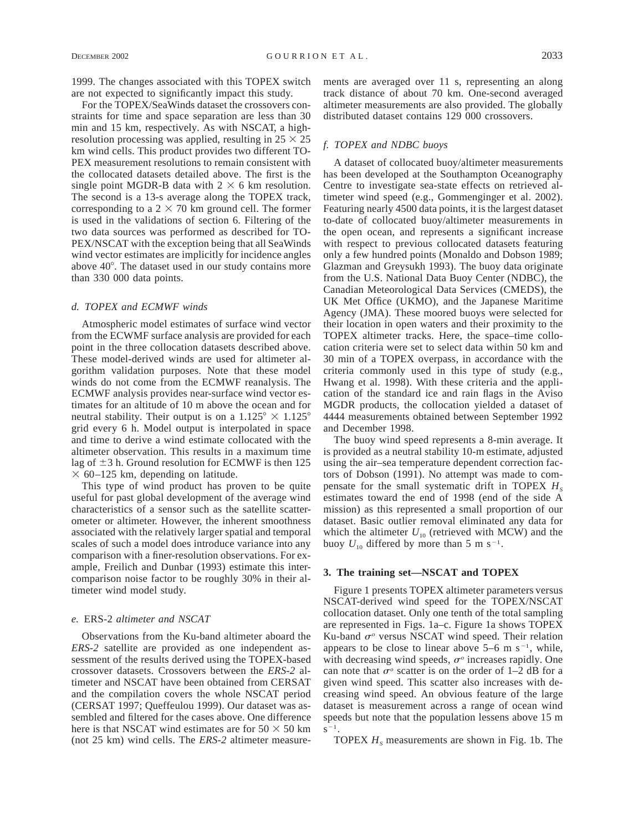For the TOPEX/SeaWinds dataset the crossovers constraints for time and space separation are less than 30 min and 15 km, respectively. As with NSCAT, a highresolution processing was applied, resulting in  $25 \times 25$ km wind cells. This product provides two different TO-PEX measurement resolutions to remain consistent with the collocated datasets detailed above. The first is the single point MGDR-B data with  $2 \times 6$  km resolution. The second is a 13-s average along the TOPEX track, corresponding to a  $2 \times 70$  km ground cell. The former is used in the validations of section 6. Filtering of the two data sources was performed as described for TO-PEX/NSCAT with the exception being that all SeaWinds wind vector estimates are implicitly for incidence angles above 40°. The dataset used in our study contains more than 330 000 data points.

## *d. TOPEX and ECMWF winds*

Atmospheric model estimates of surface wind vector from the ECWMF surface analysis are provided for each point in the three collocation datasets described above. These model-derived winds are used for altimeter algorithm validation purposes. Note that these model winds do not come from the ECMWF reanalysis. The ECMWF analysis provides near-surface wind vector estimates for an altitude of 10 m above the ocean and for neutral stability. Their output is on a  $1.125^{\circ} \times 1.125^{\circ}$ grid every 6 h. Model output is interpolated in space and time to derive a wind estimate collocated with the altimeter observation. This results in a maximum time lag of  $\pm$ 3 h. Ground resolution for ECMWF is then 125  $\times$  60–125 km, depending on latitude.

This type of wind product has proven to be quite useful for past global development of the average wind characteristics of a sensor such as the satellite scatterometer or altimeter. However, the inherent smoothness associated with the relatively larger spatial and temporal scales of such a model does introduce variance into any comparison with a finer-resolution observations. For example, Freilich and Dunbar (1993) estimate this intercomparison noise factor to be roughly 30% in their altimeter wind model study.

# *e.* ERS-2 *altimeter and NSCAT*

Observations from the Ku-band altimeter aboard the *ERS-2* satellite are provided as one independent assessment of the results derived using the TOPEX-based crossover datasets. Crossovers between the *ERS-2* altimeter and NSCAT have been obtained from CERSAT and the compilation covers the whole NSCAT period (CERSAT 1997; Queffeulou 1999). Our dataset was assembled and filtered for the cases above. One difference here is that NSCAT wind estimates are for  $50 \times 50$  km (not 25 km) wind cells. The *ERS-2* altimeter measurements are averaged over 11 s, representing an along track distance of about 70 km. One-second averaged altimeter measurements are also provided. The globally distributed dataset contains 129 000 crossovers.

# *f. TOPEX and NDBC buoys*

A dataset of collocated buoy/altimeter measurements has been developed at the Southampton Oceanography Centre to investigate sea-state effects on retrieved altimeter wind speed (e.g., Gommenginger et al. 2002). Featuring nearly 4500 data points, it is the largest dataset to-date of collocated buoy/altimeter measurements in the open ocean, and represents a significant increase with respect to previous collocated datasets featuring only a few hundred points (Monaldo and Dobson 1989; Glazman and Greysukh 1993). The buoy data originate from the U.S. National Data Buoy Center (NDBC), the Canadian Meteorological Data Services (CMEDS), the UK Met Office (UKMO), and the Japanese Maritime Agency (JMA). These moored buoys were selected for their location in open waters and their proximity to the TOPEX altimeter tracks. Here, the space–time collocation criteria were set to select data within 50 km and 30 min of a TOPEX overpass, in accordance with the criteria commonly used in this type of study (e.g., Hwang et al. 1998). With these criteria and the application of the standard ice and rain flags in the Aviso MGDR products, the collocation yielded a dataset of 4444 measurements obtained between September 1992 and December 1998.

The buoy wind speed represents a 8-min average. It is provided as a neutral stability 10-m estimate, adjusted using the air–sea temperature dependent correction factors of Dobson (1991). No attempt was made to compensate for the small systematic drift in TOPEX  $H_s$ estimates toward the end of 1998 (end of the side A mission) as this represented a small proportion of our dataset. Basic outlier removal eliminated any data for which the altimeter  $U_{10}$  (retrieved with MCW) and the buoy  $U_{10}$  differed by more than 5 m s<sup>-1</sup>.

# **3. The training set—NSCAT and TOPEX**

Figure 1 presents TOPEX altimeter parameters versus NSCAT-derived wind speed for the TOPEX/NSCAT collocation dataset. Only one tenth of the total sampling are represented in Figs. 1a–c. Figure 1a shows TOPEX Ku-band  $\sigma$ <sup>o</sup> versus NSCAT wind speed. Their relation appears to be close to linear above  $5-6$  m s<sup>-1</sup>, while, with decreasing wind speeds,  $\sigma$ <sup>o</sup> increases rapidly. One can note that  $\sigma^{\circ}$  scatter is on the order of 1–2 dB for a given wind speed. This scatter also increases with decreasing wind speed. An obvious feature of the large dataset is measurement across a range of ocean wind speeds but note that the population lessens above 15 m  $S^{-1}$ .

TOPEX  $H<sub>s</sub>$  measurements are shown in Fig. 1b. The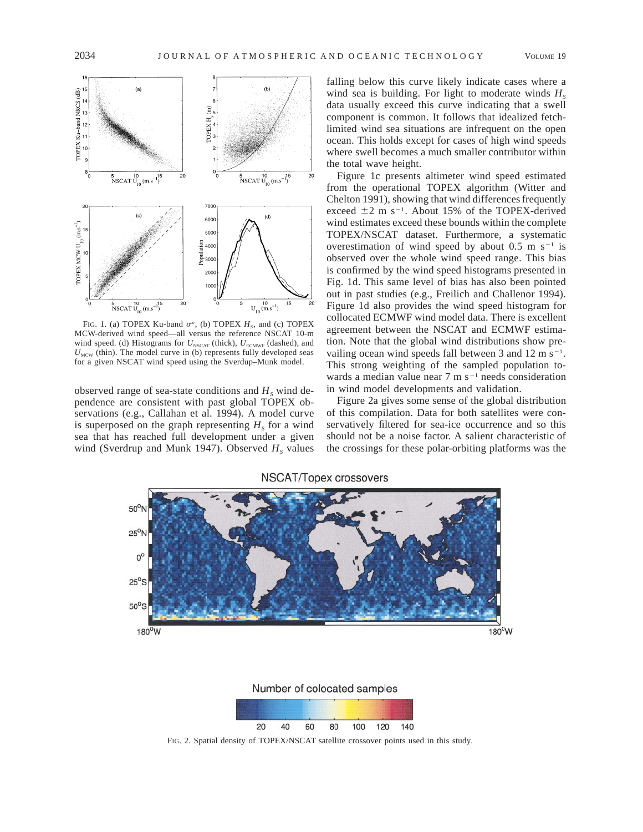

FIG. 1. (a) TOPEX Ku-band  $\sigma$ <sup>o</sup>, (b) TOPEX  $H_s$ , and (c) TOPEX MCW-derived wind speed—all versus the reference NSCAT 10-m wind speed. (d) Histograms for  $U_{\text{NSCAT}}$  (thick),  $U_{\text{ECMWF}}$  (dashed), and  $U<sub>MCW</sub>$  (thin). The model curve in (b) represents fully developed seas for a given NSCAT wind speed using the Sverdup–Munk model.

observed range of sea-state conditions and  $H<sub>s</sub>$  wind dependence are consistent with past global TOPEX observations (e.g., Callahan et al. 1994). A model curve is superposed on the graph representing  $H<sub>s</sub>$  for a wind sea that has reached full development under a given wind (Sverdrup and Munk 1947). Observed  $H<sub>s</sub>$  values

falling below this curve likely indicate cases where a wind sea is building. For light to moderate winds  $H_s$ data usually exceed this curve indicating that a swell component is common. It follows that idealized fetchlimited wind sea situations are infrequent on the open ocean. This holds except for cases of high wind speeds where swell becomes a much smaller contributor within the total wave height.

Figure 1c presents altimeter wind speed estimated from the operational TOPEX algorithm (Witter and Chelton 1991), showing that wind differences frequently exceed  $\pm 2$  m s<sup>-1</sup>. About 15% of the TOPEX-derived wind estimates exceed these bounds within the complete TOPEX/NSCAT dataset. Furthermore, a systematic overestimation of wind speed by about 0.5 m  $s^{-1}$  is observed over the whole wind speed range. This bias is confirmed by the wind speed histograms presented in Fig. 1d. This same level of bias has also been pointed out in past studies (e.g., Freilich and Challenor 1994). Figure 1d also provides the wind speed histogram for collocated ECMWF wind model data. There is excellent agreement between the NSCAT and ECMWF estimation. Note that the global wind distributions show prevailing ocean wind speeds fall between 3 and 12 m  $s^{-1}$ . This strong weighting of the sampled population towards a median value near  $7 \text{ m s}^{-1}$  needs consideration in wind model developments and validation.

Figure 2a gives some sense of the global distribution of this compilation. Data for both satellites were conservatively filtered for sea-ice occurrence and so this should not be a noise factor. A salient characteristic of the crossings for these polar-orbiting platforms was the



FIG. 2. Spatial density of TOPEX/NSCAT satellite crossover points used in this study.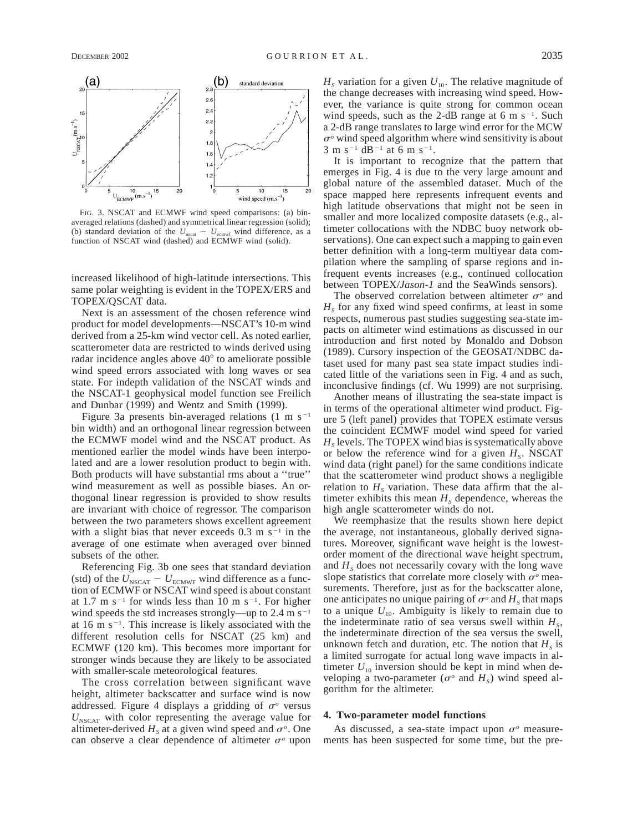

FIG. 3. NSCAT and ECMWF wind speed comparisons: (a) binaveraged relations (dashed) and symmetrical linear regression (solid); (b) standard deviation of the  $U_{\text{nscat}} - U_{\text{ecmwf}}$  wind difference, as a function of NSCAT wind (dashed) and ECMWF wind (solid).

increased likelihood of high-latitude intersections. This same polar weighting is evident in the TOPEX/ERS and TOPEX/QSCAT data.

Next is an assessment of the chosen reference wind product for model developments—NSCAT's 10-m wind derived from a 25-km wind vector cell. As noted earlier, scatterometer data are restricted to winds derived using radar incidence angles above  $40^{\circ}$  to ameliorate possible wind speed errors associated with long waves or sea state. For indepth validation of the NSCAT winds and the NSCAT-1 geophysical model function see Freilich and Dunbar (1999) and Wentz and Smith (1999).

Figure 3a presents bin-averaged relations  $(1 \text{ m s}^{-1})$ bin width) and an orthogonal linear regression between the ECMWF model wind and the NSCAT product. As mentioned earlier the model winds have been interpolated and are a lower resolution product to begin with. Both products will have substantial rms about a ''true'' wind measurement as well as possible biases. An orthogonal linear regression is provided to show results are invariant with choice of regressor. The comparison between the two parameters shows excellent agreement with a slight bias that never exceeds  $0.3 \text{ m s}^{-1}$  in the average of one estimate when averaged over binned subsets of the other.

Referencing Fig. 3b one sees that standard deviation (std) of the  $U_{\text{NSCAT}} - U_{\text{ECMWF}}$  wind difference as a function of ECMWF or NSCAT wind speed is about constant at 1.7 m s<sup>-1</sup> for winds less than 10 m s<sup>-1</sup>. For higher wind speeds the std increases strongly—up to 2.4 m s<sup>-1</sup> at 16 m  $s^{-1}$ . This increase is likely associated with the different resolution cells for NSCAT (25 km) and ECMWF (120 km). This becomes more important for stronger winds because they are likely to be associated with smaller-scale meteorological features.

The cross correlation between significant wave height, altimeter backscatter and surface wind is now addressed. Figure 4 displays a gridding of  $\sigma$ <sup>o</sup> versus  $U_{NSCAT}$  with color representing the average value for altimeter-derived  $H<sub>s</sub>$  at a given wind speed and  $\sigma<sup>o</sup>$ . One can observe a clear dependence of altimeter  $\sigma$ <sup>o</sup> upon

 $H<sub>s</sub>$  variation for a given  $U<sub>10</sub>$ . The relative magnitude of the change decreases with increasing wind speed. However, the variance is quite strong for common ocean wind speeds, such as the 2-dB range at 6 m  $s^{-1}$ . Such a 2-dB range translates to large wind error for the MCW  $\sigma$ <sup>o</sup> wind speed algorithm where wind sensitivity is about  $3 \text{ m s}^{-1}$  dB<sup>-1</sup> at 6 m s<sup>-1</sup>.

It is important to recognize that the pattern that emerges in Fig. 4 is due to the very large amount and global nature of the assembled dataset. Much of the space mapped here represents infrequent events and high latitude observations that might not be seen in smaller and more localized composite datasets (e.g., altimeter collocations with the NDBC buoy network observations). One can expect such a mapping to gain even better definition with a long-term multiyear data compilation where the sampling of sparse regions and infrequent events increases (e.g., continued collocation between TOPEX/*Jason-1* and the SeaWinds sensors).

The observed correlation between altimeter  $\sigma^{\circ}$  and  $H<sub>s</sub>$  for any fixed wind speed confirms, at least in some respects, numerous past studies suggesting sea-state impacts on altimeter wind estimations as discussed in our introduction and first noted by Monaldo and Dobson (1989). Cursory inspection of the GEOSAT/NDBC dataset used for many past sea state impact studies indicated little of the variations seen in Fig. 4 and as such, inconclusive findings (cf. Wu 1999) are not surprising.

Another means of illustrating the sea-state impact is in terms of the operational altimeter wind product. Figure 5 (left panel) provides that TOPEX estimate versus the coincident ECMWF model wind speed for varied  $H<sub>s</sub>$  levels. The TOPEX wind bias is systematically above or below the reference wind for a given  $H_s$ . NSCAT wind data (right panel) for the same conditions indicate that the scatterometer wind product shows a negligible relation to  $H<sub>s</sub>$  variation. These data affirm that the altimeter exhibits this mean  $H<sub>s</sub>$  dependence, whereas the high angle scatterometer winds do not.

We reemphasize that the results shown here depict the average, not instantaneous, globally derived signatures. Moreover, significant wave height is the lowestorder moment of the directional wave height spectrum, and  $H<sub>s</sub>$  does not necessarily covary with the long wave slope statistics that correlate more closely with  $\sigma$ <sup>o</sup> measurements. Therefore, just as for the backscatter alone, one anticipates no unique pairing of  $\sigma$ <sup>o</sup> and  $H<sub>s</sub>$  that maps to a unique  $U_{10}$ . Ambiguity is likely to remain due to the indeterminate ratio of sea versus swell within  $H_s$ , the indeterminate direction of the sea versus the swell, unknown fetch and duration, etc. The notion that  $H_s$  is a limited surrogate for actual long wave impacts in altimeter  $U_{10}$  inversion should be kept in mind when developing a two-parameter ( $\sigma$ <sup>o</sup> and  $H_s$ ) wind speed algorithm for the altimeter.

## **4. Two-parameter model functions**

As discussed, a sea-state impact upon  $\sigma$ <sup>o</sup> measurements has been suspected for some time, but the pre-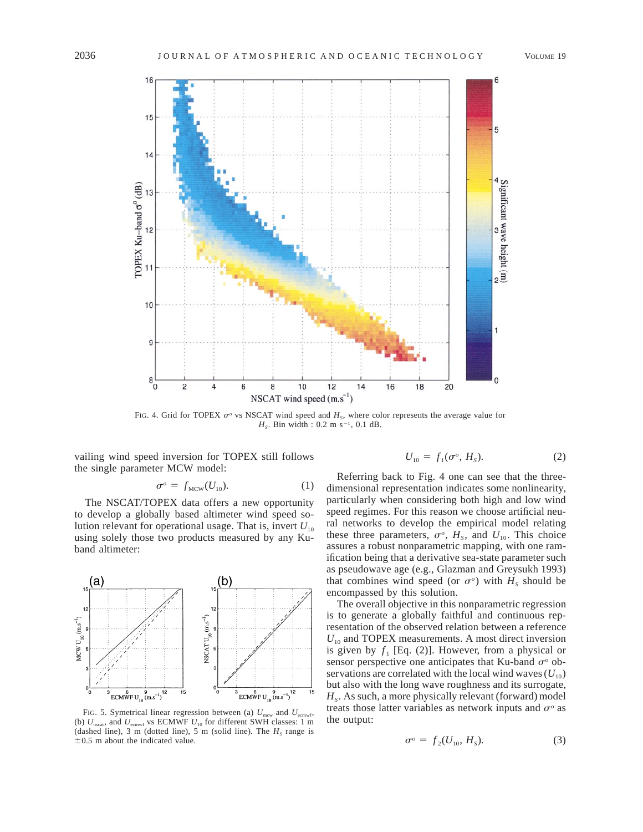

FIG. 4. Grid for TOPEX  $\sigma^o$  vs NSCAT wind speed and  $H_s$ , where color represents the average value for  $H_s$ . Bin width : 0.2 m s<sup>-1</sup>, 0.1 dB.

vailing wind speed inversion for TOPEX still follows the single parameter MCW model:

$$
\sigma^o = f_{\text{MCW}}(U_{10}).\tag{1}
$$

The NSCAT/TOPEX data offers a new opportunity to develop a globally based altimeter wind speed solution relevant for operational usage. That is, invert  $U_{10}$ using solely those two products measured by any Kuband altimeter:



FIG. 5. Symetrical linear regression between (a)  $U_{\text{new}}$  and  $U_{\text{ecmwf}}$ , (b)  $U_{\text{nscat}}$ , and  $U_{\text{ecmwr}}$  vs ECMWF  $U_{10}$  for different SWH classes: 1 m (dashed line), 3 m (dotted line), 5 m (solid line). The  $H<sub>s</sub>$  range is  $\pm 0.5$  m about the indicated value.

$$
U_{10} = f_1(\sigma^o, H_s). \tag{2}
$$

Referring back to Fig. 4 one can see that the threedimensional representation indicates some nonlinearity, particularly when considering both high and low wind speed regimes. For this reason we choose artificial neural networks to develop the empirical model relating these three parameters,  $\sigma^o$ ,  $H_s$ , and  $U_{10}$ . This choice assures a robust nonparametric mapping, with one ramification being that a derivative sea-state parameter such as pseudowave age (e.g., Glazman and Greysukh 1993) that combines wind speed (or  $\sigma$ <sup>o</sup>) with  $H<sub>s</sub>$  should be encompassed by this solution.

The overall objective in this nonparametric regression is to generate a globally faithful and continuous representation of the observed relation between a reference  $U_{10}$  and TOPEX measurements. A most direct inversion is given by  $f_1$  [Eq. (2)]. However, from a physical or sensor perspective one anticipates that Ku-band  $\sigma^{\circ}$  observations are correlated with the local wind waves  $(U_{10})$ but also with the long wave roughness and its surrogate,  $H<sub>s</sub>$ . As such, a more physically relevant (forward) model treats those latter variables as network inputs and  $\sigma^{\circ}$  as the output:

$$
\sigma^{\circ} = f_2(U_{10}, H_S). \tag{3}
$$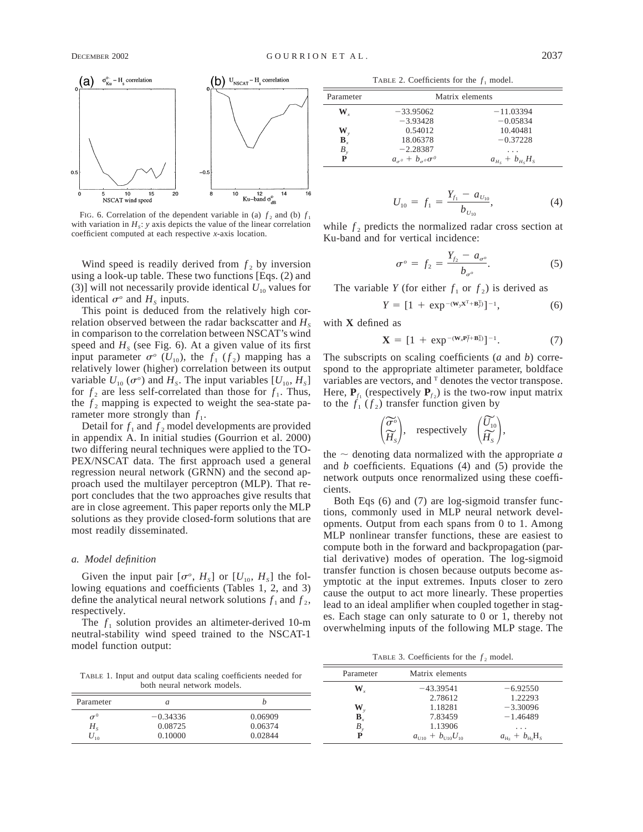

FIG. 6. Correlation of the dependent variable in (a)  $f_2$  and (b)  $f_1$ with variation in  $H_s$ : *y* axis depicts the value of the linear correlation coefficient computed at each respective *x*-axis location.

Wind speed is readily derived from  $f_2$  by inversion using a look-up table. These two functions [Eqs. (2) and (3)] will not necessarily provide identical  $U_{10}$  values for identical  $\sigma^o$  and  $H_s$  inputs.

This point is deduced from the relatively high correlation observed between the radar backscatter and  $H<sub>s</sub>$ in comparison to the correlation between NSCAT's wind speed and  $H<sub>s</sub>$  (see Fig. 6). At a given value of its first input parameter  $\sigma$ <sup>o</sup> ( $U_{10}$ ), the  $f_1$  ( $f_2$ ) mapping has a relatively lower (higher) correlation between its output variable  $U_{10}(\sigma^{\circ})$  and  $H_s$ . The input variables  $[U_{10}, H_s]$ for  $f_2$  are less self-correlated than those for  $f_1$ . Thus, the  $f_2$  mapping is expected to weight the sea-state parameter more strongly than  $f_1$ .

Detail for  $f_1$  and  $f_2$  model developments are provided in appendix A. In initial studies (Gourrion et al. 2000) two differing neural techniques were applied to the TO-PEX/NSCAT data. The first approach used a general regression neural network (GRNN) and the second approach used the multilayer perceptron (MLP). That report concludes that the two approaches give results that are in close agreement. This paper reports only the MLP solutions as they provide closed-form solutions that are most readily disseminated.

#### *a. Model definition*

Given the input pair  $[\sigma^o, H_s]$  or  $[U_{10}, H_s]$  the following equations and coefficients (Tables 1, 2, and 3) define the analytical neural network solutions  $f_1$  and  $f_2$ , respectively.

The  $f_1$  solution provides an altimeter-derived 10-m neutral-stability wind speed trained to the NSCAT-1 model function output:

TABLE 2. Coefficients for the  $f_1$  model.

| Parameter                        | Matrix elements                        |                        |  |  |  |  |
|----------------------------------|----------------------------------------|------------------------|--|--|--|--|
| $\mathbf{W}_{\cdot}$             | $-33.95062$                            | $-11.03394$            |  |  |  |  |
|                                  | $-3.93428$                             | $-0.05834$             |  |  |  |  |
|                                  | 0.54012                                | 10.40481               |  |  |  |  |
| $\mathbf{W}_y$<br>$\mathbf{B}_x$ | 18.06378                               | $-0.37228$             |  |  |  |  |
| $B_{y}$                          | $-2.28387$                             | .                      |  |  |  |  |
| P                                | $a_{\sigma^0} + b_{\sigma^0} \sigma^0$ | $a_{Hs}$ + $b_{Hs}H_s$ |  |  |  |  |

$$
U_{10} = f_1 = \frac{Y_{f_1} - a_{U_{10}}}{b_{U_{10}}},
$$
 (4)

while  $f_2$  predicts the normalized radar cross section at Ku-band and for vertical incidence:

$$
\sigma^o = f_2 = \frac{Y_{f_2} - a_{\sigma^o}}{b_{\sigma^o}}.
$$
 (5)

The variable *Y* (for either  $f_1$  or  $f_2$ ) is derived as

$$
Y = [1 + \exp^{-(\mathbf{W}_y \mathbf{X}^{\mathrm{T}} + \mathbf{B}_y^{\mathrm{T}})}]^{-1}, \tag{6}
$$

with **X** defined as

$$
\mathbf{X} = [1 + \exp^{-(\mathbf{W}_x \mathbf{P}_f^{\mathrm{T}} + \mathbf{B}_x^{\mathrm{T}})}]^{-1}.
$$
 (7)

The subscripts on scaling coefficients (*a* and *b*) correspond to the appropriate altimeter parameter, boldface variables are vectors, and  $T$  denotes the vector transpose. Here,  $P_{f_1}$  (respectively  $P_{f_2}$ ) is the two-row input matrix to the  $f_1(f_2)$  transfer function given by

$$
\left(\begin{matrix} \widetilde{\sigma}^{\circ} \\ \widetilde{H}_{S} \end{matrix}\right)
$$
, respectively  $\left(\begin{matrix} \widetilde{U}_{10} \\ \widetilde{H}_{S} \end{matrix}\right)$ ,

the  $\sim$  denoting data normalized with the appropriate *a* and *b* coefficients. Equations (4) and (5) provide the network outputs once renormalized using these coefficients.

Both Eqs (6) and (7) are log-sigmoid transfer functions, commonly used in MLP neural network developments. Output from each spans from 0 to 1. Among MLP nonlinear transfer functions, these are easiest to compute both in the forward and backpropagation (partial derivative) modes of operation. The log-sigmoid transfer function is chosen because outputs become asymptotic at the input extremes. Inputs closer to zero cause the output to act more linearly. These properties lead to an ideal amplifier when coupled together in stages. Each stage can only saturate to 0 or 1, thereby not overwhelming inputs of the following MLP stage. The

TABLE 3. Coefficients for the  $f_2$  model.

| TABLE 1. Input and output data scaling coefficients needed for |                             |         | Parameter | Matrix elements                          |                                    |
|----------------------------------------------------------------|-----------------------------|---------|-----------|------------------------------------------|------------------------------------|
|                                                                | both neural network models. |         | W         | $-43.39541$                              | $-6.92550$                         |
| Parameter                                                      |                             |         |           | 2.78612                                  | 1.22293                            |
|                                                                |                             |         | W         | 1.18281                                  | $-3.30096$                         |
| $\sigma^0$                                                     | $-0.34336$                  | 0.06909 |           | 7.83459                                  | $-1.46489$                         |
| $H_{\rm s}$                                                    | 0.08725                     | 0.06374 |           | 1.13906                                  | $\cdots$                           |
| $U_{10}$                                                       | 0.10000                     | 0.02844 |           | $a_{\text{U10}} + b_{\text{U10}} U_{10}$ | $a_{\text{Hs}} + b_{\text{Hs}}H_s$ |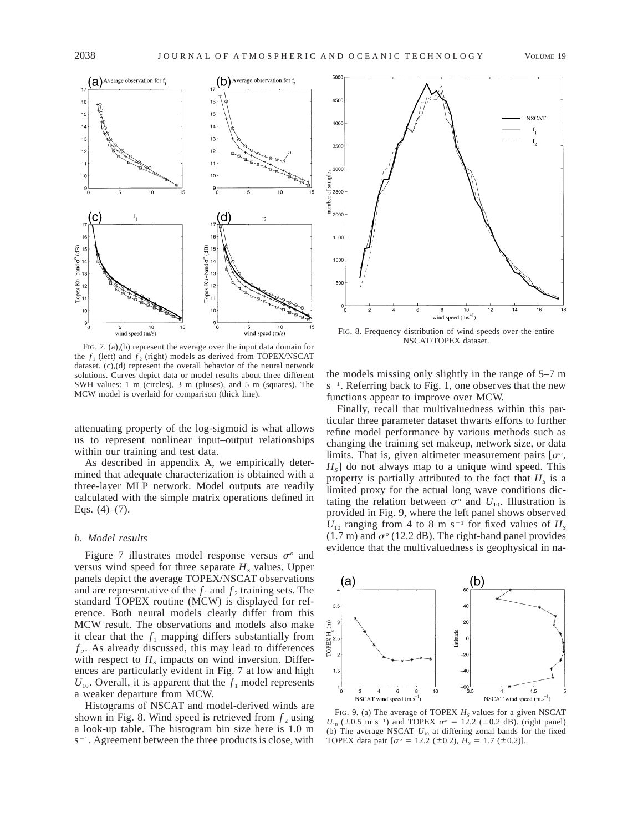

FIG. 7. (a),(b) represent the average over the input data domain for the  $f_1$  (left) and  $f_2$  (right) models as derived from TOPEX/NSCAT dataset. (c),(d) represent the overall behavior of the neural network solutions. Curves depict data or model results about three different SWH values: 1 m (circles), 3 m (pluses), and 5 m (squares). The MCW model is overlaid for comparison (thick line).

attenuating property of the log-sigmoid is what allows us to represent nonlinear input–output relationships within our training and test data.

As described in appendix A, we empirically determined that adequate characterization is obtained with a three-layer MLP network. Model outputs are readily calculated with the simple matrix operations defined in Eqs.  $(4)$ – $(7)$ .

# *b. Model results*

Figure 7 illustrates model response versus  $\sigma^{\circ}$  and versus wind speed for three separate  $H<sub>s</sub>$  values. Upper panels depict the average TOPEX/NSCAT observations and are representative of the  $f_1$  and  $f_2$  training sets. The standard TOPEX routine (MCW) is displayed for reference. Both neural models clearly differ from this MCW result. The observations and models also make it clear that the  $f_1$  mapping differs substantially from  $f<sub>2</sub>$ . As already discussed, this may lead to differences with respect to  $H<sub>s</sub>$  impacts on wind inversion. Differences are particularly evident in Fig. 7 at low and high  $U_{10}$ . Overall, it is apparent that the  $f_1$  model represents a weaker departure from MCW.

Histograms of NSCAT and model-derived winds are shown in Fig. 8. Wind speed is retrieved from  $f_2$  using a look-up table. The histogram bin size here is 1.0 m  $s^{-1}$ . Agreement between the three products is close, with



FIG. 8. Frequency distribution of wind speeds over the entire NSCAT/TOPEX dataset.

the models missing only slightly in the range of 5–7 m  $s^{-1}$ . Referring back to Fig. 1, one observes that the new functions appear to improve over MCW.

Finally, recall that multivaluedness within this particular three parameter dataset thwarts efforts to further refine model performance by various methods such as changing the training set makeup, network size, or data limits. That is, given altimeter measurement pairs  $[\sigma^{\circ},]$  $H<sub>s</sub>$ ] do not always map to a unique wind speed. This property is partially attributed to the fact that  $H<sub>s</sub>$  is a limited proxy for the actual long wave conditions dictating the relation between  $\sigma^{\circ}$  and  $U_{10}$ . Illustration is provided in Fig. 9, where the left panel shows observed  $U_{10}$  ranging from 4 to 8 m s<sup>-1</sup> for fixed values of  $H_s$ (1.7 m) and  $\sigma$ <sup>o</sup> (12.2 dB). The right-hand panel provides evidence that the multivaluedness is geophysical in na-



FIG. 9. (a) The average of TOPEX  $H<sub>s</sub>$  values for a given NSCAT  $U_{10}$  ( $\pm 0.5$  m s<sup>-1</sup>) and TOPEX  $\sigma^{\circ} = 12.2$  ( $\pm 0.2$  dB). (right panel) (b) The average NSCAT  $U_{10}$  at differing zonal bands for the fixed TOPEX data pair  $[\sigma^{\circ} = 12.2 \ (\pm 0.2), H_s = 1.7 \ (\pm 0.2)].$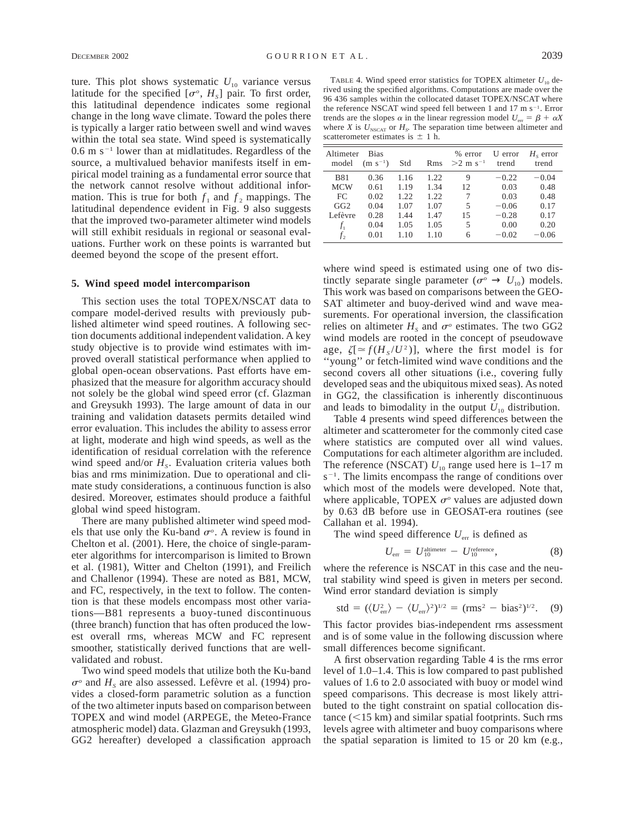ture. This plot shows systematic  $U_{10}$  variance versus latitude for the specified  $[\sigma^o, H_s]$  pair. To first order, this latitudinal dependence indicates some regional change in the long wave climate. Toward the poles there is typically a larger ratio between swell and wind waves within the total sea state. Wind speed is systematically  $0.6$  m s<sup>-1</sup> lower than at midlatitudes. Regardless of the source, a multivalued behavior manifests itself in empirical model training as a fundamental error source that the network cannot resolve without additional information. This is true for both  $f_1$  and  $f_2$  mappings. The latitudinal dependence evident in Fig. 9 also suggests that the improved two-parameter altimeter wind models will still exhibit residuals in regional or seasonal evaluations. Further work on these points is warranted but deemed beyond the scope of the present effort.

# **5. Wind speed model intercomparison**

This section uses the total TOPEX/NSCAT data to compare model-derived results with previously published altimeter wind speed routines. A following section documents additional independent validation. A key study objective is to provide wind estimates with improved overall statistical performance when applied to global open-ocean observations. Past efforts have emphasized that the measure for algorithm accuracy should not solely be the global wind speed error (cf. Glazman and Greysukh 1993). The large amount of data in our training and validation datasets permits detailed wind error evaluation. This includes the ability to assess error at light, moderate and high wind speeds, as well as the identification of residual correlation with the reference wind speed and/or  $H_s$ . Evaluation criteria values both bias and rms minimization. Due to operational and climate study considerations, a continuous function is also desired. Moreover, estimates should produce a faithful global wind speed histogram.

There are many published altimeter wind speed models that use only the Ku-band  $\sigma$ <sup>o</sup>. A review is found in Chelton et al. (2001). Here, the choice of single-parameter algorithms for intercomparison is limited to Brown et al. (1981), Witter and Chelton (1991), and Freilich and Challenor (1994). These are noted as B81, MCW, and FC, respectively, in the text to follow. The contention is that these models encompass most other variations—B81 represents a buoy-tuned discontinuous (three branch) function that has often produced the lowest overall rms, whereas MCW and FC represent smoother, statistically derived functions that are wellvalidated and robust.

Two wind speed models that utilize both the Ku-band  $\sigma^{\circ}$  and  $H_s$  are also assessed. Lefèvre et al. (1994) provides a closed-form parametric solution as a function of the two altimeter inputs based on comparison between TOPEX and wind model (ARPEGE, the Meteo-France atmospheric model) data. Glazman and Greysukh (1993, GG2 hereafter) developed a classification approach

TABLE 4. Wind speed error statistics for TOPEX altimeter  $U_{10}$  derived using the specified algorithms. Computations are made over the 96 436 samples within the collocated dataset TOPEX/NSCAT where the reference NSCAT wind speed fell between 1 and 17 m  $s^{-1}$ . Error trends are the slopes  $\alpha$  in the linear regression model  $U_{\text{err}} = \beta + \alpha X$ where *X* is  $U_{NSCAT}$  or  $H_S$ . The separation time between altimeter and scatterometer estimates is  $\pm$  1 h.

| Altimeter<br>model | <b>Bias</b><br>$(m s^{-1})$ | Std  | Rms  | $%$ error<br>$>2$ m s <sup>-1</sup> | U error<br>trend | $Hs$ error<br>trend |
|--------------------|-----------------------------|------|------|-------------------------------------|------------------|---------------------|
| <b>B81</b>         | 0.36                        | 1.16 | 1.22 | 9                                   | $-0.22$          | $-0.04$             |
| <b>MCW</b>         | 0.61                        | 1.19 | 1.34 | 12                                  | 0.03             | 0.48                |
| FC                 | 0.02                        | 1.22 | 1.22 | 7                                   | 0.03             | 0.48                |
| GG2                | 0.04                        | 1.07 | 1.07 | 5                                   | $-0.06$          | 0.17                |
| Lefèvre            | 0.28                        | 1.44 | 1.47 | 15                                  | $-0.28$          | 0.17                |
| $f_1$              | 0.04                        | 1.05 | 1.05 | 5                                   | 0.00             | 0.20                |
| f <sub>2</sub>     | 0.01                        | 1.10 | 1.10 | 6                                   | $-0.02$          | $-0.06$             |

where wind speed is estimated using one of two distinctly separate single parameter ( $\sigma^{\circ} \rightarrow U_{10}$ ) models. This work was based on comparisons between the GEO-SAT altimeter and buoy-derived wind and wave measurements. For operational inversion, the classification relies on altimeter  $H<sub>s</sub>$  and  $\sigma<sup>o</sup>$  estimates. The two GG2 wind models are rooted in the concept of pseudowave age,  $\zeta$ [ $\approx$  *f*( $H_s$ / $U^2$ )], where the first model is for ''young'' or fetch-limited wind wave conditions and the second covers all other situations (i.e., covering fully developed seas and the ubiquitous mixed seas). As noted in GG2, the classification is inherently discontinuous and leads to bimodality in the output  $U_{10}$  distribution.

Table 4 presents wind speed differences between the altimeter and scatterometer for the commonly cited case where statistics are computed over all wind values. Computations for each altimeter algorithm are included. The reference (NSCAT)  $U_{10}$  range used here is 1–17 m  $s^{-1}$ . The limits encompass the range of conditions over which most of the models were developed. Note that, where applicable, TOPEX  $\sigma$ <sup>o</sup> values are adjusted down by 0.63 dB before use in GEOSAT-era routines (see Callahan et al. 1994).

The wind speed difference  $U_{\text{err}}$  is defined as

$$
U_{\rm err} = U_{10}^{\rm altimeter} - U_{10}^{\rm reference},\tag{8}
$$

where the reference is NSCAT in this case and the neutral stability wind speed is given in meters per second. Wind error standard deviation is simply

$$
std = (\langle U_{\text{err}}^2 \rangle - \langle U_{\text{err}} \rangle^2)^{1/2} = (rms^2 - bias^2)^{1/2}.
$$
 (9)

This factor provides bias-independent rms assessment and is of some value in the following discussion where small differences become significant.

A first observation regarding Table 4 is the rms error level of 1.0–1.4. This is low compared to past published values of 1.6 to 2.0 associated with buoy or model wind speed comparisons. This decrease is most likely attributed to the tight constraint on spatial collocation distance  $(<15$  km) and similar spatial footprints. Such rms levels agree with altimeter and buoy comparisons where the spatial separation is limited to 15 or 20 km (e.g.,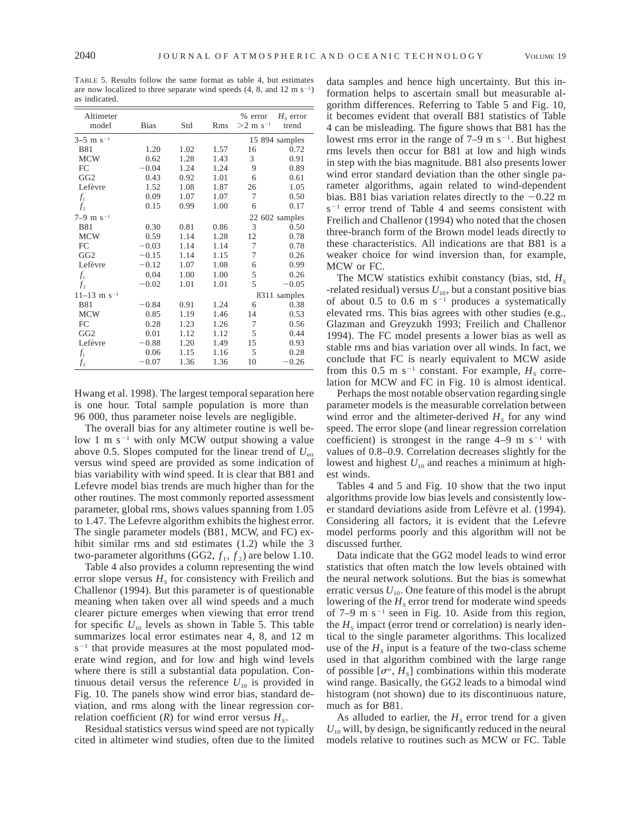TABLE 5. Results follow the same format as table 4, but estimates are now localized to three separate wind speeds  $(4, 8, \text{ and } 12 \text{ m s}^{-1})$ as indicated.

| Altimeter<br>model        | <b>Bias</b> | Std  | Rms  | % error<br>$>2$ m s <sup>-1</sup> | $H_s$ error<br>trend |  |
|---------------------------|-------------|------|------|-----------------------------------|----------------------|--|
| $3-5$ m s <sup>-1</sup>   |             |      |      | 15 894 samples                    |                      |  |
| <b>B81</b>                | 1.20        | 1.02 | 1.57 | 16                                | 0.72                 |  |
| <b>MCW</b>                | 0.62        | 1.28 | 1.43 | 3                                 | 0.91                 |  |
| FC                        | $-0.04$     | 1.24 | 1.24 | 9                                 | 0.89                 |  |
| GG <sub>2</sub>           | 0.43        | 0.92 | 1.01 | 6                                 | 0.61                 |  |
| Lefèvre                   | 1.52        | 1.08 | 1.87 | 26                                | 1.05                 |  |
| $f_1$                     | 0.09        | 1.07 | 1.07 | 7                                 | 0.50                 |  |
| $f_2$                     | 0.15        | 0.99 | 1.00 | 6                                 | 0.17                 |  |
| $7-9$ m s <sup>-1</sup>   |             |      |      |                                   | 22 602 samples       |  |
| <b>B81</b>                | 0.30        | 0.81 | 0.86 | 3                                 | 0.50                 |  |
| <b>MCW</b>                | 0.59        | 1.14 | 1.28 | 12                                | 0.78                 |  |
| FC                        | $-0.03$     | 1.14 | 1.14 | 7                                 | 0.78                 |  |
| GG <sub>2</sub>           | $-0.15$     | 1.14 | 1.15 | 7                                 | 0.26                 |  |
| Lefèvre                   | $-0.12$     | 1.07 | 1.08 | 6                                 | 0.99                 |  |
| $f_1$                     | 0.04        | 1.00 | 1.00 | 5                                 | 0.26                 |  |
| f <sub>2</sub>            | $-0.02$     | 1.01 | 1.01 | 5                                 | $-0.05$              |  |
| $11-13$ m s <sup>-1</sup> |             |      |      |                                   | 8311 samples         |  |
| <b>B81</b>                | $-0.84$     | 0.91 | 1.24 | 6                                 | 0.38                 |  |
| <b>MCW</b>                | 0.85        | 1.19 | 1.46 | 14                                | 0.53                 |  |
| FC                        | 0.28        | 1.23 | 1.26 | 7                                 | 0.56                 |  |
| GG <sub>2</sub>           | 0.01        | 1.12 | 1.12 | 5                                 | 0.44                 |  |
| Lefèvre                   | $-0.88$     | 1.20 | 1.49 | 15                                | 0.93                 |  |
| $f_1$                     | 0.06        | 1.15 | 1.16 | 5                                 | 0.28                 |  |
| $f_2$                     | $-0.07$     | 1.36 | 1.36 | 10                                | $-0.26$              |  |

Hwang et al. 1998). The largest temporal separation here is one hour. Total sample population is more than 96 000, thus parameter noise levels are negligible.

The overall bias for any altimeter routine is well below 1 m  $s^{-1}$  with only MCW output showing a value above 0.5. Slopes computed for the linear trend of  $U_{\text{err}}$ versus wind speed are provided as some indication of bias variability with wind speed. It is clear that B81 and Lefevre model bias trends are much higher than for the other routines. The most commonly reported assessment parameter, global rms, shows values spanning from 1.05 to 1.47. The Lefevre algorithm exhibits the highest error. The single parameter models (B81, MCW, and FC) exhibit similar rms and std estimates (1.2) while the 3 two-parameter algorithms (GG2,  $f_1$ ,  $f_2$ ) are below 1.10.

Table 4 also provides a column representing the wind error slope versus  $H<sub>s</sub>$  for consistency with Freilich and Challenor (1994). But this parameter is of questionable meaning when taken over all wind speeds and a much clearer picture emerges when viewing that error trend for specific  $U_{10}$  levels as shown in Table 5. This table summarizes local error estimates near 4, 8, and 12 m  $s^{-1}$  that provide measures at the most populated moderate wind region, and for low and high wind levels where there is still a substantial data population. Continuous detail versus the reference  $U_{10}$  is provided in Fig. 10. The panels show wind error bias, standard deviation, and rms along with the linear regression correlation coefficient  $(R)$  for wind error versus  $H_s$ .

Residual statistics versus wind speed are not typically cited in altimeter wind studies, often due to the limited

data samples and hence high uncertainty. But this information helps to ascertain small but measurable algorithm differences. Referring to Table 5 and Fig. 10, it becomes evident that overall B81 statistics of Table 4 can be misleading. The figure shows that B81 has the lowest rms error in the range of  $7-9$  m s<sup>-1</sup>. But highest rms levels then occur for B81 at low and high winds in step with the bias magnitude. B81 also presents lower wind error standard deviation than the other single parameter algorithms, again related to wind-dependent bias. B81 bias variation relates directly to the  $-0.22$  m  $s^{-1}$  error trend of Table 4 and seems consistent with Freilich and Challenor (1994) who noted that the chosen three-branch form of the Brown model leads directly to these characteristics. All indications are that B81 is a weaker choice for wind inversion than, for example, MCW or FC.

The MCW statistics exhibit constancy (bias, std,  $H<sub>s</sub>$ -related residual) versus  $U_{10}$ , but a constant positive bias of about 0.5 to 0.6 m  $s^{-1}$  produces a systematically elevated rms. This bias agrees with other studies (e.g., Glazman and Greyzukh 1993; Freilich and Challenor 1994). The FC model presents a lower bias as well as stable rms and bias variation over all winds. In fact, we conclude that FC is nearly equivalent to MCW aside from this 0.5 m s<sup>-1</sup> constant. For example,  $H_s$  correlation for MCW and FC in Fig. 10 is almost identical.

Perhaps the most notable observation regarding single parameter models is the measurable correlation between wind error and the altimeter-derived  $H<sub>s</sub>$  for any wind speed. The error slope (and linear regression correlation coefficient) is strongest in the range  $4-9$  m s<sup>-1</sup> with values of 0.8–0.9. Correlation decreases slightly for the lowest and highest  $U_{10}$  and reaches a minimum at highest winds.

Tables 4 and 5 and Fig. 10 show that the two input algorithms provide low bias levels and consistently lower standard deviations aside from Lefèvre et al. (1994). Considering all factors, it is evident that the Lefevre model performs poorly and this algorithm will not be discussed further.

Data indicate that the GG2 model leads to wind error statistics that often match the low levels obtained with the neural network solutions. But the bias is somewhat erratic versus  $U_{10}$ . One feature of this model is the abrupt lowering of the  $H<sub>s</sub>$  error trend for moderate wind speeds of 7–9 m  $s^{-1}$  seen in Fig. 10. Aside from this region, the  $H<sub>s</sub>$  impact (error trend or correlation) is nearly identical to the single parameter algorithms. This localized use of the  $H<sub>s</sub>$  input is a feature of the two-class scheme used in that algorithm combined with the large range of possible  $[\sigma^o, H_s]$  combinations within this moderate wind range. Basically, the GG2 leads to a bimodal wind histogram (not shown) due to its discontinuous nature, much as for B81.

As alluded to earlier, the  $H<sub>s</sub>$  error trend for a given  $U_{10}$  will, by design, be significantly reduced in the neural models relative to routines such as MCW or FC. Table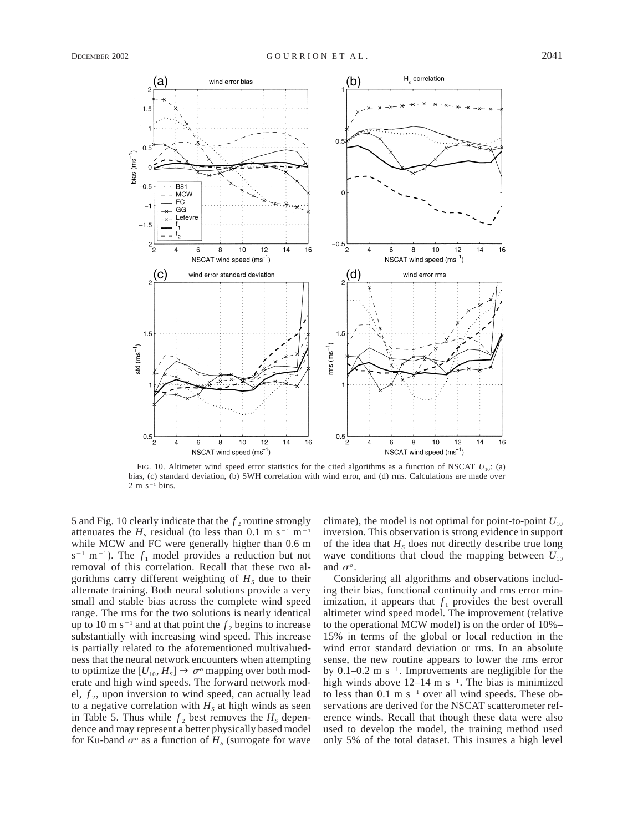

FIG. 10. Altimeter wind speed error statistics for the cited algorithms as a function of NSCAT  $U_{10}$ : (a) bias, (c) standard deviation, (b) SWH correlation with wind error, and (d) rms. Calculations are made over  $2 m s^{-1}$  bins.

5 and Fig. 10 clearly indicate that the  $f_2$  routine strongly attenuates the  $H<sub>s</sub>$  residual (to less than 0.1 m s<sup>-1</sup> m<sup>-1</sup> while MCW and FC were generally higher than 0.6 m  $s^{-1}$  m<sup>-1</sup>). The  $f_1$  model provides a reduction but not removal of this correlation. Recall that these two algorithms carry different weighting of  $H<sub>s</sub>$  due to their alternate training. Both neural solutions provide a very small and stable bias across the complete wind speed range. The rms for the two solutions is nearly identical up to 10 m s<sup>-1</sup> and at that point the  $f_2$  begins to increase substantially with increasing wind speed. This increase is partially related to the aforementioned multivaluedness that the neural network encounters when attempting to optimize the  $[U_{10}, H_S] \to \sigma^{\circ}$  mapping over both moderate and high wind speeds. The forward network model,  $f_2$ , upon inversion to wind speed, can actually lead to a negative correlation with  $H<sub>s</sub>$  at high winds as seen in Table 5. Thus while  $f_2$  best removes the  $H_s$  dependence and may represent a better physically based model for Ku-band  $\sigma^{\circ}$  as a function of  $H<sub>s</sub>$  (surrogate for wave

climate), the model is not optimal for point-to-point  $U_{10}$ inversion. This observation is strong evidence in support of the idea that  $H<sub>s</sub>$  does not directly describe true long wave conditions that cloud the mapping between  $U_{10}$ and  $\sigma$ <sup>o</sup>.

Considering all algorithms and observations including their bias, functional continuity and rms error minimization, it appears that  $f_1$  provides the best overall altimeter wind speed model. The improvement (relative to the operational MCW model) is on the order of 10%– 15% in terms of the global or local reduction in the wind error standard deviation or rms. In an absolute sense, the new routine appears to lower the rms error by  $0.1-0.2$  m s<sup>-1</sup>. Improvements are negligible for the high winds above  $12-14$  m s<sup>-1</sup>. The bias is minimized to less than  $0.1 \text{ m s}^{-1}$  over all wind speeds. These observations are derived for the NSCAT scatterometer reference winds. Recall that though these data were also used to develop the model, the training method used only 5% of the total dataset. This insures a high level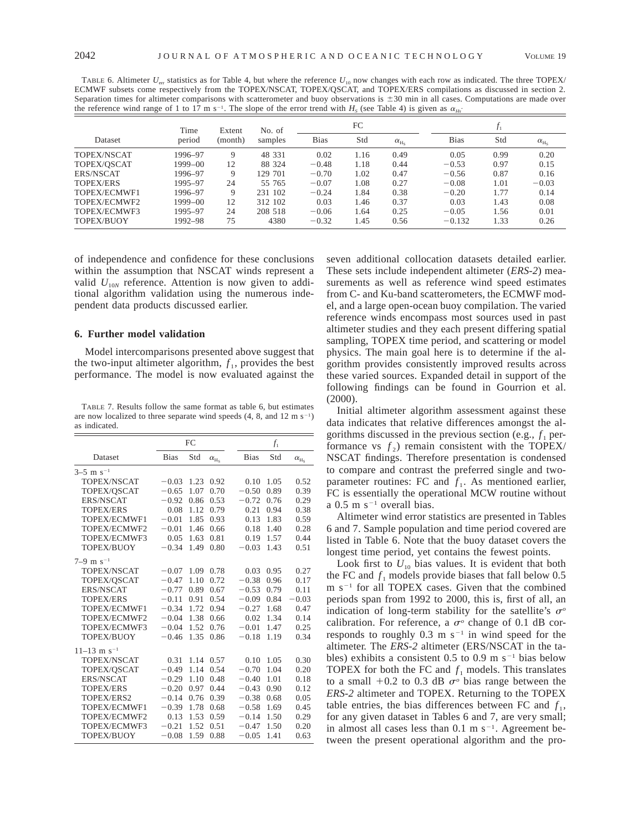TABLE 6. Altimeter  $U_{\text{err}}$  statistics as for Table 4, but where the reference  $U_{10}$  now changes with each row as indicated. The three TOPEX/ ECMWF subsets come respectively from the TOPEX/NSCAT, TOPEX/QSCAT, and TOPEX/ERS compilations as discussed in section 2. Separation times for altimeter comparisons with scatterometer and buoy observations is  $\pm 30$  min in all cases. Computations are made over

| эсраганон инсе тог аннисте сопративону with scatterometer and buoy observations is $\pm$ 50 mm in an cases.                             |  |  |  |
|-----------------------------------------------------------------------------------------------------------------------------------------|--|--|--|
| the reference wind range of 1 to 17 m s <sup>-1</sup> . The slope of the error trend with $H_s$ (see Table 4) is given as $\alpha_{Hs}$ |  |  |  |

|                   | Time    | Extent  | No. of  |             | FC   |                   |             |      |                    |
|-------------------|---------|---------|---------|-------------|------|-------------------|-------------|------|--------------------|
| Dataset           | period  | (month) | samples | <b>Bias</b> | Std  | $\alpha_{\rm Hs}$ | <b>Bias</b> | Std  | $\alpha_{\rm H_S}$ |
| TOPEX/NSCAT       | 1996-97 | 9       | 48 331  | 0.02        | 1.16 | 0.49              | 0.05        | 0.99 | 0.20               |
| TOPEX/OSCAT       | 1999-00 | 12      | 88 324  | $-0.48$     | 1.18 | 0.44              | $-0.53$     | 0.97 | 0.15               |
| ERS/NSCAT         | 1996-97 | 9       | 129 701 | $-0.70$     | 1.02 | 0.47              | $-0.56$     | 0.87 | 0.16               |
| <b>TOPEX/ERS</b>  | 1995-97 | 24      | 55 765  | $-0.07$     | 1.08 | 0.27              | $-0.08$     | 1.01 | $-0.03$            |
| TOPEX/ECMWF1      | 1996-97 | 9       | 231 102 | $-0.24$     | 1.84 | 0.38              | $-0.20$     | 1.77 | 0.14               |
| TOPEX/ECMWF2      | 1999–00 | 12      | 312 102 | 0.03        | 1.46 | 0.37              | 0.03        | 1.43 | 0.08               |
| TOPEX/ECMWF3      | 1995-97 | 24      | 208 518 | $-0.06$     | 1.64 | 0.25              | $-0.05$     | 1.56 | 0.01               |
| <b>TOPEX/BUOY</b> | 1992-98 | 75      | 4380    | $-0.32$     | 1.45 | 0.56              | $-0.132$    | 1.33 | 0.26               |

of independence and confidence for these conclusions within the assumption that NSCAT winds represent a valid  $U_{10N}$  reference. Attention is now given to additional algorithm validation using the numerous independent data products discussed earlier.

## **6. Further model validation**

Model intercomparisons presented above suggest that the two-input altimeter algorithm,  $f_1$ , provides the best performance. The model is now evaluated against the

TABLE 7. Results follow the same format as table 6, but estimates are now localized to three separate wind speeds  $(4, 8, \text{ and } 12 \text{ m s}^{-1})$ as indicated.

|                           | FC          |      |                   |             | $f_1$ |                    |
|---------------------------|-------------|------|-------------------|-------------|-------|--------------------|
| Dataset                   | <b>Bias</b> | Std  | $\alpha_{\rm Hs}$ | <b>Bias</b> | Std   | $\alpha_{\rm H_S}$ |
| $3-5$ m s <sup>-1</sup>   |             |      |                   |             |       |                    |
| TOPEX/NSCAT               | $-0.03$     | 1.23 | 0.92              | 0.10        | 1.05  | 0.52               |
| TOPEX/OSCAT               | $-0.65$     | 1.07 | 0.70              | $-0.50$     | 0.89  | 0.39               |
| <b>ERS/NSCAT</b>          | $-0.92$     | 0.86 | 0.53              | $-0.72$     | 0.76  | 0.29               |
| <b>TOPEX/ERS</b>          | 0.08        | 1.12 | 0.79              | 0.21        | 0.94  | 0.38               |
| TOPEX/ECMWF1              | $-0.01$     | 1.85 | 0.93              | 0.13        | 1.83  | 0.59               |
| TOPEX/ECMWF2              | $-0.01$     | 1.46 | 0.66              | 0.18        | 1.40  | 0.28               |
| TOPEX/ECMWF3              | 0.05        | 1.63 | 0.81              | 0.19        | 1.57  | 0.44               |
| TOPEX/BUOY                | $-0.34$     | 1.49 | 0.80              | $-0.03$     | 1.43  | 0.51               |
| $7-9$ m s <sup>-1</sup>   |             |      |                   |             |       |                    |
| <b>TOPEX/NSCAT</b>        | $-0.07$     | 1.09 | 0.78              | 0.03        | 0.95  | 0.27               |
| TOPEX/QSCAT               | $-0.47$     | 1.10 | 0.72              | $-0.38$     | 0.96  | 0.17               |
| <b>ERS/NSCAT</b>          | $-0.77$     | 0.89 | 0.67              | $-0.53$     | 0.79  | 0.11               |
| <b>TOPEX/ERS</b>          | $-0.11$     | 0.91 | 0.54              | $-0.09$     | 0.84  | $-0.03$            |
| TOPEX/ECMWF1              | $-0.34$     | 1.72 | 0.94              | $-0.27$     | 1.68  | 0.47               |
| TOPEX/ECMWF2              | $-0.04$     | 1.38 | 0.66              | 0.02        | 1.34  | 0.14               |
| TOPEX/ECMWF3              | $-0.04$     | 1.52 | 0.76              | $-0.01$     | 1.47  | 0.25               |
| TOPEX/BUOY                | $-0.46$     | 1.35 | 0.86              | $-0.18$     | 1.19  | 0.34               |
| $11-13$ m s <sup>-1</sup> |             |      |                   |             |       |                    |
| TOPEX/NSCAT               | 0.31        | 1.14 | 0.57              | 0.10        | 1.05  | 0.30               |
| TOPEX/OSCAT               | $-0.49$     | 1.14 | 0.54              | $-0.70$     | 1.04  | 0.20               |
| <b>ERS/NSCAT</b>          | $-0.29$     | 1.10 | 0.48              | $-0.40$     | 1.01  | 0.18               |
| <b>TOPEX/ERS</b>          | $-0.20$     | 0.97 | 0.44              | $-0.43$     | 0.90  | 0.12               |
| TOPEX/ERS2                | $-0.14$     | 0.76 | 0.39              | $-0.38$     | 0.68  | 0.05               |
| TOPEX/ECMWF1              | $-0.39$     | 1.78 | 0.68              | $-0.58$     | 1.69  | 0.45               |
| TOPEX/ECMWF2              | 0.13        | 1.53 | 0.59              | $-0.14$     | 1.50  | 0.29               |
| TOPEX/ECMWF3              | $-0.21$     | 1.52 | 0.51              | $-0.47$     | 1.50  | 0.20               |
| TOPEX/BUOY                | $-0.08$     | 1.59 | 0.88              | $-0.05$     | 1.41  | 0.63               |

seven additional collocation datasets detailed earlier. These sets include independent altimeter (*ERS-2*) measurements as well as reference wind speed estimates from C- and Ku-band scatterometers, the ECMWF model, and a large open-ocean buoy compilation. The varied reference winds encompass most sources used in past altimeter studies and they each present differing spatial sampling, TOPEX time period, and scattering or model physics. The main goal here is to determine if the algorithm provides consistently improved results across these varied sources. Expanded detail in support of the following findings can be found in Gourrion et al. (2000).

Initial altimeter algorithm assessment against these data indicates that relative differences amongst the algorithms discussed in the previous section (e.g.,  $f_1$  performance vs  $f_2$ ) remain consistent with the TOPEX/ NSCAT findings. Therefore presentation is condensed to compare and contrast the preferred single and twoparameter routines: FC and  $f_1$ . As mentioned earlier, FC is essentially the operational MCW routine without a  $0.5$  m s<sup>-1</sup> overall bias.

Altimeter wind error statistics are presented in Tables 6 and 7. Sample population and time period covered are listed in Table 6. Note that the buoy dataset covers the longest time period, yet contains the fewest points.

Look first to  $U_{10}$  bias values. It is evident that both the FC and  $f_1$  models provide biases that fall below 0.5  $m s<sup>-1</sup>$  for all TOPEX cases. Given that the combined periods span from 1992 to 2000, this is, first of all, an indication of long-term stability for the satellite's  $\sigma^{\circ}$ calibration. For reference, a  $\sigma$ <sup>o</sup> change of 0.1 dB corresponds to roughly  $0.3 \text{ m s}^{-1}$  in wind speed for the altimeter. The *ERS-2* altimeter (ERS/NSCAT in the tables) exhibits a consistent 0.5 to 0.9 m  $s^{-1}$  bias below TOPEX for both the FC and  $f_1$  models. This translates to a small  $+0.2$  to 0.3 dB  $\sigma$ <sup>o</sup> bias range between the *ERS-2* altimeter and TOPEX. Returning to the TOPEX table entries, the bias differences between FC and  $f_1$ , for any given dataset in Tables 6 and 7, are very small; in almost all cases less than  $0.1 \text{ m s}^{-1}$ . Agreement between the present operational algorithm and the pro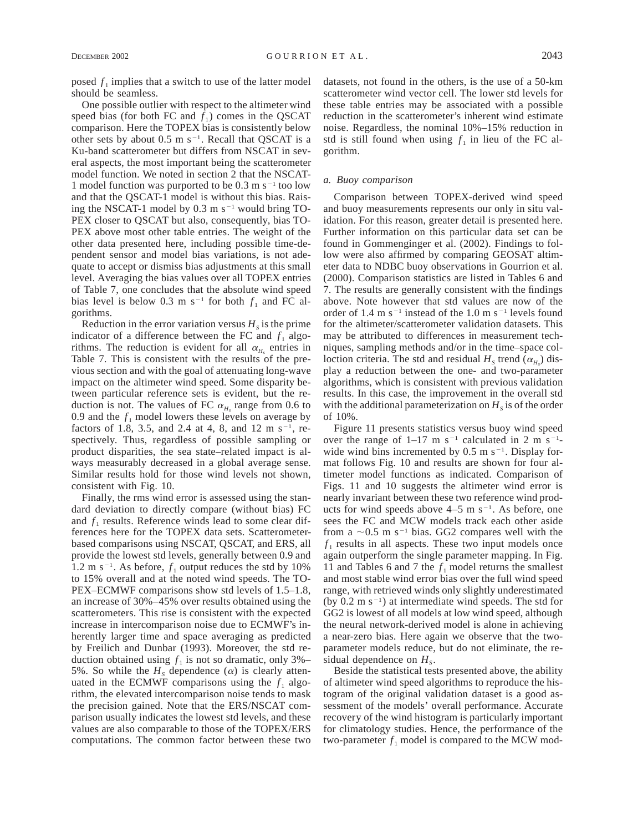posed  $f_1$  implies that a switch to use of the latter model should be seamless.

One possible outlier with respect to the altimeter wind speed bias (for both FC and  $f_1$ ) comes in the QSCAT comparison. Here the TOPEX bias is consistently below other sets by about  $0.5 \text{ m s}^{-1}$ . Recall that QSCAT is a Ku-band scatterometer but differs from NSCAT in several aspects, the most important being the scatterometer model function. We noted in section 2 that the NSCAT-1 model function was purported to be  $0.3 \text{ m s}^{-1}$  too low and that the QSCAT-1 model is without this bias. Raising the NSCAT-1 model by  $0.3 \text{ m s}^{-1}$  would bring TO-PEX closer to QSCAT but also, consequently, bias TO-PEX above most other table entries. The weight of the other data presented here, including possible time-dependent sensor and model bias variations, is not adequate to accept or dismiss bias adjustments at this small level. Averaging the bias values over all TOPEX entries of Table 7, one concludes that the absolute wind speed bias level is below 0.3 m s<sup>-1</sup> for both  $f_1$  and FC algorithms.

Reduction in the error variation versus  $H<sub>s</sub>$  is the prime indicator of a difference between the FC and  $f_1$  algorithms. The reduction is evident for all  $\alpha_H$  entries in Table 7. This is consistent with the results of the previous section and with the goal of attenuating long-wave impact on the altimeter wind speed. Some disparity between particular reference sets is evident, but the reduction is not. The values of FC  $\alpha_{H_s}$  range from 0.6 to 0.9 and the  $f_1$  model lowers these levels on average by factors of 1.8, 3.5, and 2.4 at 4, 8, and 12 m s<sup>-1</sup>, respectively. Thus, regardless of possible sampling or product disparities, the sea state–related impact is always measurably decreased in a global average sense. Similar results hold for those wind levels not shown, consistent with Fig. 10.

Finally, the rms wind error is assessed using the standard deviation to directly compare (without bias) FC and  $f_1$  results. Reference winds lead to some clear differences here for the TOPEX data sets. Scatterometerbased comparisons using NSCAT, QSCAT, and ERS, all provide the lowest std levels, generally between 0.9 and 1.2 m s<sup>-1</sup>. As before,  $f_1$  output reduces the std by 10% to 15% overall and at the noted wind speeds. The TO-PEX–ECMWF comparisons show std levels of 1.5–1.8, an increase of 30%–45% over results obtained using the scatterometers. This rise is consistent with the expected increase in intercomparison noise due to ECMWF's inherently larger time and space averaging as predicted by Freilich and Dunbar (1993). Moreover, the std reduction obtained using  $f_1$  is not so dramatic, only 3%– 5%. So while the  $H<sub>s</sub>$  dependence  $(\alpha)$  is clearly attenuated in the ECMWF comparisons using the  $f_1$  algorithm, the elevated intercomparison noise tends to mask the precision gained. Note that the ERS/NSCAT comparison usually indicates the lowest std levels, and these values are also comparable to those of the TOPEX/ERS computations. The common factor between these two

datasets, not found in the others, is the use of a 50-km scatterometer wind vector cell. The lower std levels for these table entries may be associated with a possible reduction in the scatterometer's inherent wind estimate noise. Regardless, the nominal 10%–15% reduction in std is still found when using  $f_1$  in lieu of the FC algorithm.

# *a. Buoy comparison*

Comparison between TOPEX-derived wind speed and buoy measurements represents our only in situ validation. For this reason, greater detail is presented here. Further information on this particular data set can be found in Gommenginger et al. (2002). Findings to follow were also affirmed by comparing GEOSAT altimeter data to NDBC buoy observations in Gourrion et al. (2000). Comparison statistics are listed in Tables 6 and 7. The results are generally consistent with the findings above. Note however that std values are now of the order of 1.4 m  $s^{-1}$  instead of the 1.0 m  $s^{-1}$  levels found for the altimeter/scatterometer validation datasets. This may be attributed to differences in measurement techniques, sampling methods and/or in the time–space colloction criteria. The std and residual  $H_s$  trend  $(\alpha_{H_s})$  display a reduction between the one- and two-parameter algorithms, which is consistent with previous validation results. In this case, the improvement in the overall std with the additional parameterization on  $H<sub>s</sub>$  is of the order of 10%.

Figure 11 presents statistics versus buoy wind speed over the range of  $1-17$  m s<sup>-1</sup> calculated in 2 m s<sup>-1</sup>wide wind bins incremented by  $0.5 \text{ m s}^{-1}$ . Display format follows Fig. 10 and results are shown for four altimeter model functions as indicated. Comparison of Figs. 11 and 10 suggests the altimeter wind error is nearly invariant between these two reference wind products for wind speeds above  $4-5$  m s<sup>-1</sup>. As before, one sees the FC and MCW models track each other aside from a  $\sim$ 0.5 m s<sup>-1</sup> bias. GG2 compares well with the  $f_1$  results in all aspects. These two input models once again outperform the single parameter mapping. In Fig. 11 and Tables 6 and 7 the  $f_1$  model returns the smallest and most stable wind error bias over the full wind speed range, with retrieved winds only slightly underestimated (by  $0.2 \text{ m s}^{-1}$ ) at intermediate wind speeds. The std for GG2 is lowest of all models at low wind speed, although the neural network-derived model is alone in achieving a near-zero bias. Here again we observe that the twoparameter models reduce, but do not eliminate, the residual dependence on  $H_s$ .

Beside the statistical tests presented above, the ability of altimeter wind speed algorithms to reproduce the histogram of the original validation dataset is a good assessment of the models' overall performance. Accurate recovery of the wind histogram is particularly important for climatology studies. Hence, the performance of the two-parameter  $f_1$  model is compared to the MCW mod-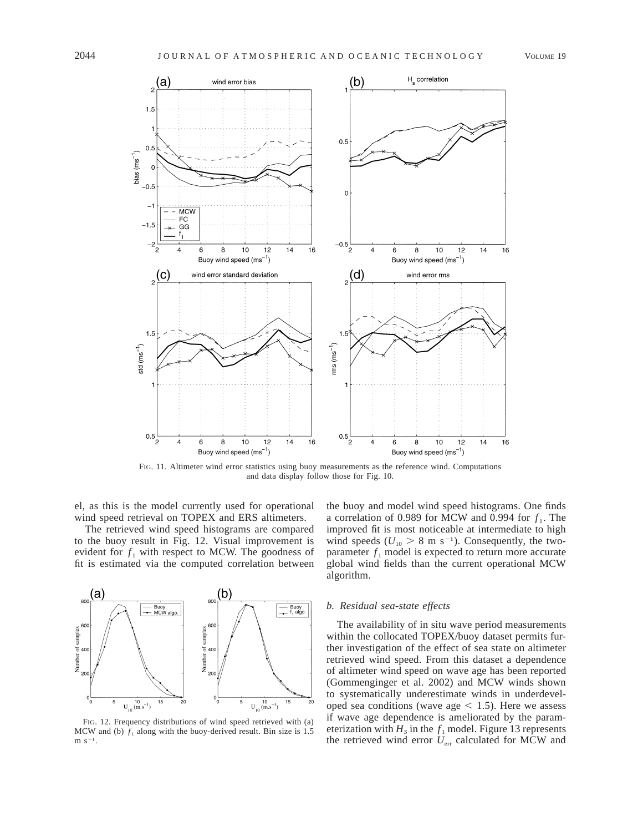

FIG. 11. Altimeter wind error statistics using buoy measurements as the reference wind. Computations and data display follow those for Fig. 10.

el, as this is the model currently used for operational wind speed retrieval on TOPEX and ERS altimeters.

The retrieved wind speed histograms are compared to the buoy result in Fig. 12. Visual improvement is evident for  $f_1$  with respect to MCW. The goodness of fit is estimated via the computed correlation between



FIG. 12. Frequency distributions of wind speed retrieved with (a) MCW and (b)  $f_1$  along with the buoy-derived result. Bin size is 1.5 m  $s^{-1}$ .

the buoy and model wind speed histograms. One finds a correlation of 0.989 for MCW and 0.994 for  $f_1$ . The improved fit is most noticeable at intermediate to high wind speeds ( $U_{10} > 8$  m s<sup>-1</sup>). Consequently, the twoparameter  $f_1$  model is expected to return more accurate global wind fields than the current operational MCW algorithm.

## *b. Residual sea-state effects*

The availability of in situ wave period measurements within the collocated TOPEX/buoy dataset permits further investigation of the effect of sea state on altimeter retrieved wind speed. From this dataset a dependence of altimeter wind speed on wave age has been reported (Gommenginger et al. 2002) and MCW winds shown to systematically underestimate winds in underdeveloped sea conditions (wave age  $< 1.5$ ). Here we assess if wave age dependence is ameliorated by the parameterization with  $H_s$  in the  $f_1$  model. Figure 13 represents the retrieved wind error  $U_{\text{err}}$  calculated for MCW and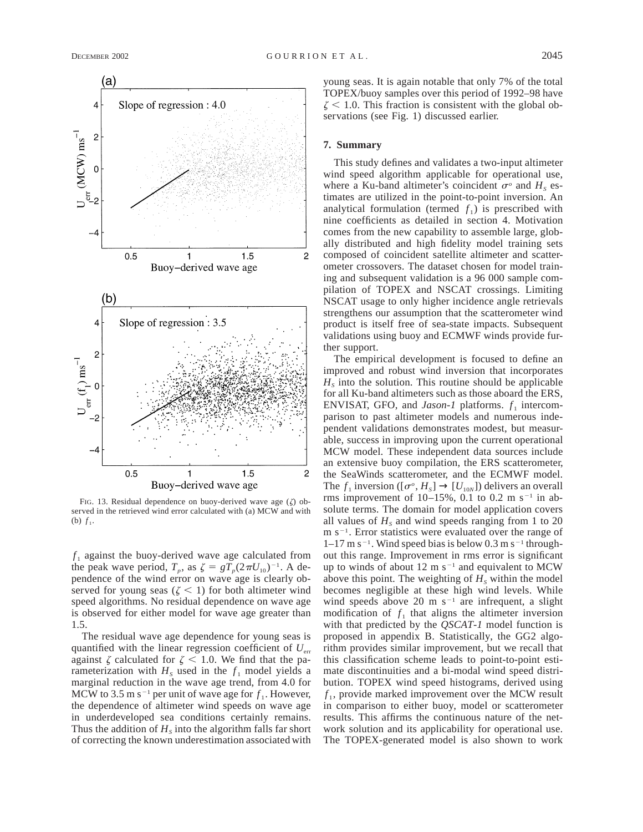

FIG. 13. Residual dependence on buoy-derived wave age  $(\zeta)$  observed in the retrieved wind error calculated with (a) MCW and with (b)  $f_1$ .

 $f_1$  against the buoy-derived wave age calculated from the peak wave period,  $T_p$ , as  $\zeta = gT_p(2\pi U_{10})^{-1}$ . A dependence of the wind error on wave age is clearly observed for young seas ( $\zeta$  < 1) for both altimeter wind speed algorithms. No residual dependence on wave age is observed for either model for wave age greater than 1.5.

The residual wave age dependence for young seas is quantified with the linear regression coefficient of *U*err against  $\zeta$  calculated for  $\zeta$  < 1.0. We find that the parameterization with  $H<sub>s</sub>$  used in the  $f<sub>1</sub>$  model yields a marginal reduction in the wave age trend, from 4.0 for MCW to 3.5 m s<sup>-1</sup> per unit of wave age for  $f_1$ . However, the dependence of altimeter wind speeds on wave age in underdeveloped sea conditions certainly remains. Thus the addition of  $H<sub>s</sub>$  into the algorithm falls far short of correcting the known underestimation associated with young seas. It is again notable that only 7% of the total TOPEX/buoy samples over this period of 1992–98 have  $\zeta$  < 1.0. This fraction is consistent with the global observations (see Fig. 1) discussed earlier.

### **7. Summary**

This study defines and validates a two-input altimeter wind speed algorithm applicable for operational use, where a Ku-band altimeter's coincident  $\sigma^{\circ}$  and  $H_S$  estimates are utilized in the point-to-point inversion. An analytical formulation (termed  $f_1$ ) is prescribed with nine coefficients as detailed in section 4. Motivation comes from the new capability to assemble large, globally distributed and high fidelity model training sets composed of coincident satellite altimeter and scatterometer crossovers. The dataset chosen for model training and subsequent validation is a 96 000 sample compilation of TOPEX and NSCAT crossings. Limiting NSCAT usage to only higher incidence angle retrievals strengthens our assumption that the scatterometer wind product is itself free of sea-state impacts. Subsequent validations using buoy and ECMWF winds provide further support.

The empirical development is focused to define an improved and robust wind inversion that incorporates  $H<sub>s</sub>$  into the solution. This routine should be applicable for all Ku-band altimeters such as those aboard the ERS, ENVISAT, GFO, and *Jason-1* platforms.  $f_1$  intercomparison to past altimeter models and numerous independent validations demonstrates modest, but measurable, success in improving upon the current operational MCW model. These independent data sources include an extensive buoy compilation, the ERS scatterometer, the SeaWinds scatterometer, and the ECMWF model. The  $f_1$  inversion ([ $\sigma$ <sup>o</sup>,  $H_s$ ]  $\rightarrow$  [ $U_{10N}$ ]) delivers an overall rms improvement of  $10-15\%$ , 0.1 to 0.2 m s<sup>-1</sup> in absolute terms. The domain for model application covers all values of  $H_s$  and wind speeds ranging from 1 to 20  $m s^{-1}$ . Error statistics were evaluated over the range of  $1-17$  m s<sup>-1</sup>. Wind speed bias is below 0.3 m s<sup>-1</sup> throughout this range. Improvement in rms error is significant up to winds of about  $12 \text{ m s}^{-1}$  and equivalent to MCW above this point. The weighting of  $H<sub>s</sub>$  within the model becomes negligible at these high wind levels. While wind speeds above 20 m  $s^{-1}$  are infrequent, a slight modification of  $f_1$  that aligns the altimeter inversion with that predicted by the *QSCAT-1* model function is proposed in appendix B. Statistically, the GG2 algorithm provides similar improvement, but we recall that this classification scheme leads to point-to-point estimate discontinuities and a bi-modal wind speed distribution. TOPEX wind speed histograms, derived using  $f_1$ , provide marked improvement over the MCW result in comparison to either buoy, model or scatterometer results. This affirms the continuous nature of the network solution and its applicability for operational use. The TOPEX-generated model is also shown to work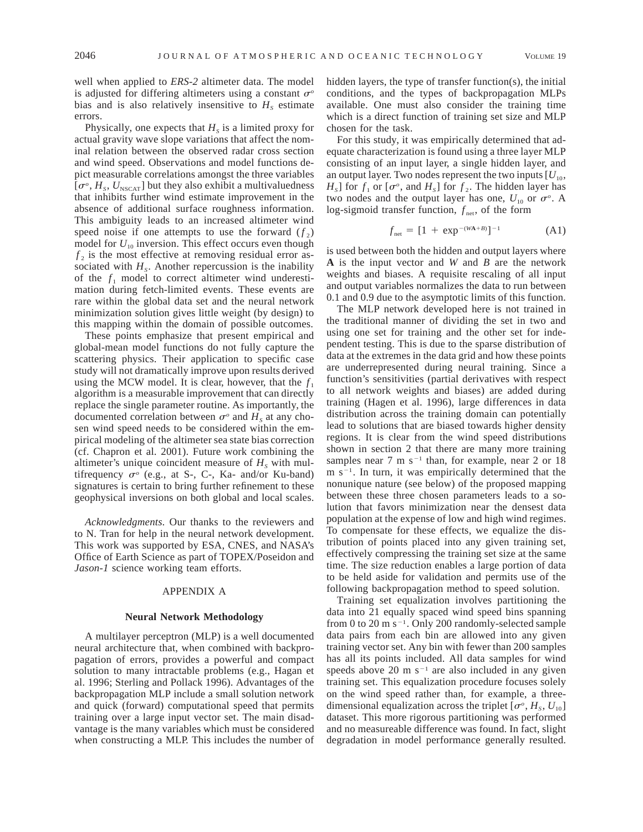well when applied to *ERS-2* altimeter data. The model is adjusted for differing altimeters using a constant  $\sigma$ <sup>o</sup> bias and is also relatively insensitive to  $H<sub>s</sub>$  estimate errors.

Physically, one expects that  $H<sub>s</sub>$  is a limited proxy for actual gravity wave slope variations that affect the nominal relation between the observed radar cross section and wind speed. Observations and model functions depict measurable correlations amongst the three variables  $[\sigma^o, H_s, U_{\text{NSCAT}}]$  but they also exhibit a multivaluedness that inhibits further wind estimate improvement in the absence of additional surface roughness information. This ambiguity leads to an increased altimeter wind speed noise if one attempts to use the forward  $(f_2)$ model for  $U_{10}$  inversion. This effect occurs even though  $f<sub>2</sub>$  is the most effective at removing residual error associated with  $H_s$ . Another repercussion is the inability of the  $f_1$  model to correct altimeter wind underestimation during fetch-limited events. These events are rare within the global data set and the neural network minimization solution gives little weight (by design) to this mapping within the domain of possible outcomes.

These points emphasize that present empirical and global-mean model functions do not fully capture the scattering physics. Their application to specific case study will not dramatically improve upon results derived using the MCW model. It is clear, however, that the  $f_1$ algorithm is a measurable improvement that can directly replace the single parameter routine. As importantly, the documented correlation between  $\sigma^{\circ}$  and  $H_s$  at any chosen wind speed needs to be considered within the empirical modeling of the altimeter sea state bias correction (cf. Chapron et al. 2001). Future work combining the altimeter's unique coincident measure of  $H<sub>s</sub>$  with multifrequency  $\sigma^o$  (e.g., at S-, C-, Ka- and/or Ku-band) signatures is certain to bring further refinement to these geophysical inversions on both global and local scales.

*Acknowledgments.* Our thanks to the reviewers and to N. Tran for help in the neural network development. This work was supported by ESA, CNES, and NASA's Office of Earth Science as part of TOPEX/Poseidon and *Jason-1* science working team efforts.

# APPENDIX A

## **Neural Network Methodology**

A multilayer perceptron (MLP) is a well documented neural architecture that, when combined with backpropagation of errors, provides a powerful and compact solution to many intractable problems (e.g., Hagan et al. 1996; Sterling and Pollack 1996). Advantages of the backpropagation MLP include a small solution network and quick (forward) computational speed that permits training over a large input vector set. The main disadvantage is the many variables which must be considered when constructing a MLP. This includes the number of hidden layers, the type of transfer function(s), the initial conditions, and the types of backpropagation MLPs available. One must also consider the training time which is a direct function of training set size and MLP chosen for the task.

For this study, it was empirically determined that adequate characterization is found using a three layer MLP consisting of an input layer, a single hidden layer, and an output layer. Two nodes represent the two inputs  $[U_{10},$  $H_s$ ] for  $f_1$  or  $[\sigma^o$ , and  $H_s$ ] for  $f_2$ . The hidden layer has two nodes and the output layer has one,  $U_{10}$  or  $\sigma^o$ . A log-sigmoid transfer function,  $f_{net}$ , of the form

$$
f_{\text{net}} = [1 + \exp^{-(WA+B)}]^{-1} \tag{A1}
$$

is used between both the hidden and output layers where **A** is the input vector and *W* and *B* are the network weights and biases. A requisite rescaling of all input and output variables normalizes the data to run between 0.1 and 0.9 due to the asymptotic limits of this function.

The MLP network developed here is not trained in the traditional manner of dividing the set in two and using one set for training and the other set for independent testing. This is due to the sparse distribution of data at the extremes in the data grid and how these points are underrepresented during neural training. Since a function's sensitivities (partial derivatives with respect to all network weights and biases) are added during training (Hagen et al. 1996), large differences in data distribution across the training domain can potentially lead to solutions that are biased towards higher density regions. It is clear from the wind speed distributions shown in section 2 that there are many more training samples near 7 m  $s^{-1}$  than, for example, near 2 or 18  $m s^{-1}$ . In turn, it was empirically determined that the nonunique nature (see below) of the proposed mapping between these three chosen parameters leads to a solution that favors minimization near the densest data population at the expense of low and high wind regimes. To compensate for these effects, we equalize the distribution of points placed into any given training set, effectively compressing the training set size at the same time. The size reduction enables a large portion of data to be held aside for validation and permits use of the following backpropagation method to speed solution.

Training set equalization involves partitioning the data into 21 equally spaced wind speed bins spanning from 0 to 20 m  $s^{-1}$ . Only 200 randomly-selected sample data pairs from each bin are allowed into any given training vector set. Any bin with fewer than 200 samples has all its points included. All data samples for wind speeds above 20 m  $s^{-1}$  are also included in any given training set. This equalization procedure focuses solely on the wind speed rather than, for example, a threedimensional equalization across the triplet  $[\sigma^{\circ}, H_s, U_{10}]$ dataset. This more rigorous partitioning was performed and no measureable difference was found. In fact, slight degradation in model performance generally resulted.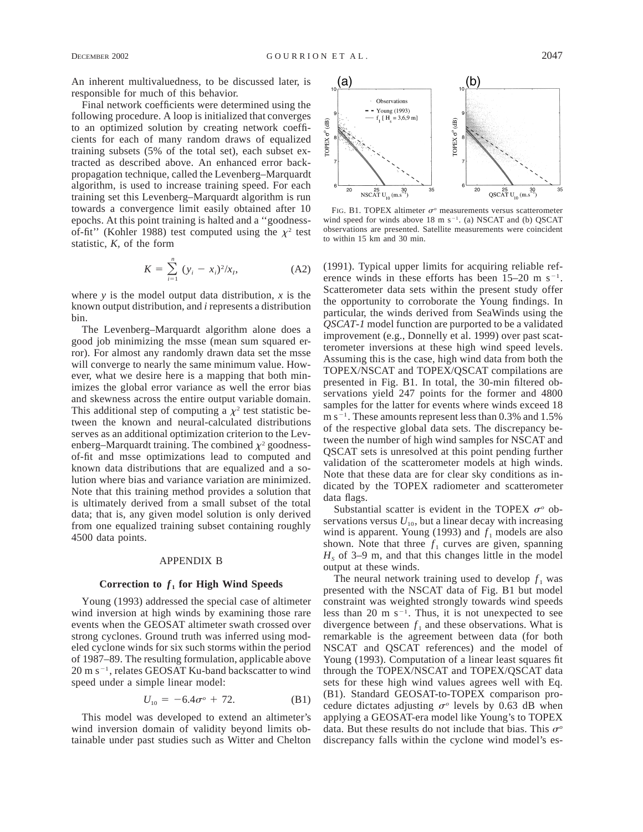An inherent multivaluedness, to be discussed later, is responsible for much of this behavior.

Final network coefficients were determined using the following procedure. A loop is initialized that converges to an optimized solution by creating network coefficients for each of many random draws of equalized training subsets (5% of the total set), each subset extracted as described above. An enhanced error backpropagation technique, called the Levenberg–Marquardt algorithm, is used to increase training speed. For each training set this Levenberg–Marquardt algorithm is run towards a convergence limit easily obtained after 10 epochs. At this point training is halted and a ''goodnessof-fit" (Kohler 1988) test computed using the  $\chi^2$  test statistic, *K,* of the form

$$
K = \sum_{i=1}^{n} (y_i - x_i)^2 / x_i,
$$
 (A2)

where *y* is the model output data distribution, *x* is the known output distribution, and *i* represents a distribution bin.

The Levenberg–Marquardt algorithm alone does a good job minimizing the msse (mean sum squared error). For almost any randomly drawn data set the msse will converge to nearly the same minimum value. However, what we desire here is a mapping that both minimizes the global error variance as well the error bias and skewness across the entire output variable domain. This additional step of computing a  $\chi^2$  test statistic between the known and neural-calculated distributions serves as an additional optimization criterion to the Levenberg–Marquardt training. The combined  $\chi^2$  goodnessof-fit and msse optimizations lead to computed and known data distributions that are equalized and a solution where bias and variance variation are minimized. Note that this training method provides a solution that is ultimately derived from a small subset of the total data; that is, any given model solution is only derived from one equalized training subset containing roughly 4500 data points.

# APPENDIX B

## Correction to  $f_1$  for High Wind Speeds

Young (1993) addressed the special case of altimeter wind inversion at high winds by examining those rare events when the GEOSAT altimeter swath crossed over strong cyclones. Ground truth was inferred using modeled cyclone winds for six such storms within the period of 1987–89. The resulting formulation, applicable above  $20 \text{ m s}^{-1}$ , relates GEOSAT Ku-band backscatter to wind speed under a simple linear model:

$$
U_{10} = -6.4\sigma^o + 72. \tag{B1}
$$

This model was developed to extend an altimeter's wind inversion domain of validity beyond limits obtainable under past studies such as Witter and Chelton



FIG. B1. TOPEX altimeter  $\sigma$ <sup>o</sup> measurements versus scatterometer wind speed for winds above  $18 \text{ m s}^{-1}$ . (a) NSCAT and (b) QSCAT observations are presented. Satellite measurements were coincident to within 15 km and 30 min.

(1991). Typical upper limits for acquiring reliable reference winds in these efforts has been  $15-20$  m s<sup>-1</sup>. Scatterometer data sets within the present study offer the opportunity to corroborate the Young findings. In particular, the winds derived from SeaWinds using the *QSCAT-1* model function are purported to be a validated improvement (e.g., Donnelly et al. 1999) over past scatterometer inversions at these high wind speed levels. Assuming this is the case, high wind data from both the TOPEX/NSCAT and TOPEX/QSCAT compilations are presented in Fig. B1. In total, the 30-min filtered observations yield 247 points for the former and 4800 samples for the latter for events where winds exceed 18  $m s^{-1}$ . These amounts represent less than 0.3% and 1.5% of the respective global data sets. The discrepancy between the number of high wind samples for NSCAT and QSCAT sets is unresolved at this point pending further validation of the scatterometer models at high winds. Note that these data are for clear sky conditions as indicated by the TOPEX radiometer and scatterometer data flags.

Substantial scatter is evident in the TOPEX  $\sigma^{\circ}$  observations versus  $U_{10}$ , but a linear decay with increasing wind is apparent. Young (1993) and  $f_1$  models are also shown. Note that three  $f_1$  curves are given, spanning  $H<sub>s</sub>$  of 3–9 m, and that this changes little in the model output at these winds.

The neural network training used to develop  $f_1$  was presented with the NSCAT data of Fig. B1 but model constraint was weighted strongly towards wind speeds less than 20 m  $s^{-1}$ . Thus, it is not unexpected to see divergence between  $f_1$  and these observations. What is remarkable is the agreement between data (for both NSCAT and QSCAT references) and the model of Young (1993). Computation of a linear least squares fit through the TOPEX/NSCAT and TOPEX/QSCAT data sets for these high wind values agrees well with Eq. (B1). Standard GEOSAT-to-TOPEX comparison procedure dictates adjusting  $\sigma$ <sup>o</sup> levels by 0.63 dB when applying a GEOSAT-era model like Young's to TOPEX data. But these results do not include that bias. This  $\sigma^{\circ}$ discrepancy falls within the cyclone wind model's es-